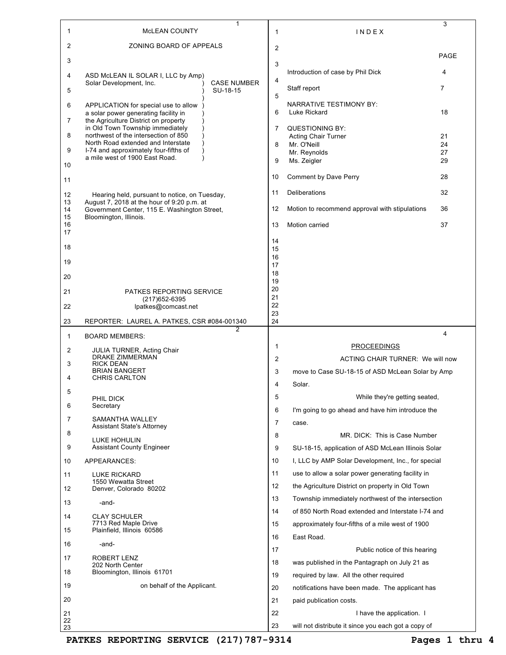|                | 1                                                                                                                    |          |                                                                                                         | 3              |
|----------------|----------------------------------------------------------------------------------------------------------------------|----------|---------------------------------------------------------------------------------------------------------|----------------|
| 1              | <b>MCLEAN COUNTY</b>                                                                                                 | 1        | INDEX                                                                                                   |                |
| 2              | ZONING BOARD OF APPEALS                                                                                              | 2        |                                                                                                         | PAGE           |
| 3              |                                                                                                                      | 3        | Introduction of case by Phil Dick                                                                       | 4              |
| 4              | ASD McLEAN IL SOLAR I, LLC by Amp)<br>Solar Development, Inc.<br><b>CASE NUMBER</b>                                  | 4        |                                                                                                         |                |
| 5              | SU-18-15                                                                                                             | 5        | Staff report                                                                                            | $\overline{7}$ |
| 6              | APPLICATION for special use to allow<br>a solar power generating facility in<br>the Agriculture District on property | 6        | NARRATIVE TESTIMONY BY:<br>Luke Rickard                                                                 | 18             |
| 7              | in Old Town Township immediately                                                                                     | 7        | <b>QUESTIONING BY:</b>                                                                                  |                |
| 8              | northwest of the intersection of 850<br>North Road extended and Interstate                                           | 8        | <b>Acting Chair Turner</b><br>Mr. O'Neill                                                               | 21<br>24       |
| 9              | I-74 and approximately four-fifths of<br>a mile west of 1900 East Road.                                              | 9        | Mr. Reynolds<br>Ms. Zeigler                                                                             | 27<br>29       |
| 10             |                                                                                                                      | 10       | Comment by Dave Perry                                                                                   | 28             |
| 11             |                                                                                                                      |          |                                                                                                         |                |
| 12<br>13       | Hearing held, pursuant to notice, on Tuesday,<br>August 7, 2018 at the hour of 9:20 p.m. at                          | 11       | Deliberations                                                                                           | 32             |
| 14<br>15<br>16 | Government Center, 115 E. Washington Street,<br>Bloomington, Illinois.                                               | 12<br>13 | Motion to recommend approval with stipulations<br>Motion carried                                        | 36<br>37       |
| 17             |                                                                                                                      | 14       |                                                                                                         |                |
| 18             |                                                                                                                      | 15       |                                                                                                         |                |
| 19             |                                                                                                                      | 16<br>17 |                                                                                                         |                |
| 20             |                                                                                                                      | 18<br>19 |                                                                                                         |                |
| 21             | PATKES REPORTING SERVICE                                                                                             | 20<br>21 |                                                                                                         |                |
| 22             | (217) 652-6395<br>lpatkes@comcast.net                                                                                | 22       |                                                                                                         |                |
| 23             | REPORTER: LAUREL A. PATKES, CSR #084-001340                                                                          | 23<br>24 |                                                                                                         |                |
|                | 2                                                                                                                    |          |                                                                                                         |                |
| 1              | <b>BOARD MEMBERS:</b>                                                                                                |          |                                                                                                         | 4              |
| 2              | <b>JULIA TURNER, Acting Chair</b>                                                                                    | 1        | <b>PROCEEDINGS</b>                                                                                      |                |
| 3              | <b>DRAKE ZIMMERMAN</b><br><b>RICK DEAN</b>                                                                           | 2        | ACTING CHAIR TURNER: We will now                                                                        |                |
| 4              | <b>BRIAN BANGERT</b><br><b>CHRIS CARLTON</b>                                                                         | 3        | move to Case SU-18-15 of ASD McLean Solar by Amp                                                        |                |
|                |                                                                                                                      | 4        | Solar.                                                                                                  |                |
| 5              | PHIL DICK                                                                                                            | 5        | While they're getting seated,                                                                           |                |
| 6              | Secretary<br>SAMANTHA WALLEY                                                                                         | 6        | I'm going to go ahead and have him introduce the                                                        |                |
| 7              | Assistant State's Attorney                                                                                           | 7        | case.                                                                                                   |                |
| 8              | LUKE HOHULIN                                                                                                         | 8        | MR. DICK: This is Case Number                                                                           |                |
| 9<br>10        | <b>Assistant County Engineer</b><br>APPEARANCES:                                                                     | 9<br>10  | SU-18-15, application of ASD McLean Illinois Solar                                                      |                |
|                |                                                                                                                      | 11       | I, LLC by AMP Solar Development, Inc., for special<br>use to allow a solar power generating facility in |                |
| 11             | <b>LUKE RICKARD</b><br>1550 Wewatta Street                                                                           | 12       | the Agriculture District on property in Old Town                                                        |                |
| 12             | Denver, Colorado 80202                                                                                               | 13       | Township immediately northwest of the intersection                                                      |                |
| 13             | -and-                                                                                                                | 14       | of 850 North Road extended and Interstate I-74 and                                                      |                |
| 14             | <b>CLAY SCHULER</b><br>7713 Red Maple Drive                                                                          | 15       | approximately four-fifths of a mile west of 1900                                                        |                |
| 15             | Plainfield, Illinois 60586                                                                                           | 16       | East Road.                                                                                              |                |
| 16             | -and-                                                                                                                | 17       | Public notice of this hearing                                                                           |                |
| 17             | ROBERT LENZ<br>202 North Center                                                                                      | 18       | was published in the Pantagraph on July 21 as                                                           |                |
| 18             | Bloomington, Illinois 61701                                                                                          | 19       | required by law. All the other required                                                                 |                |
| 19             | on behalf of the Applicant.                                                                                          | 20       | notifications have been made. The applicant has                                                         |                |
| 20             |                                                                                                                      | 21       | paid publication costs.                                                                                 |                |
| 21<br>22       |                                                                                                                      | 22<br>23 | I have the application. I<br>will not distribute it since you each got a copy of                        |                |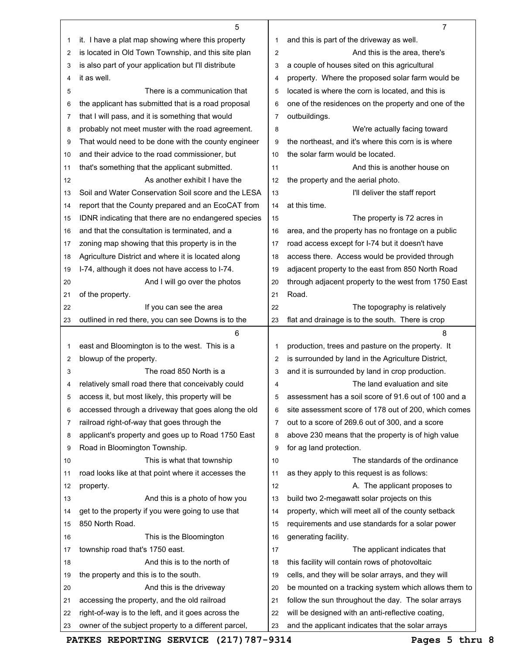|          | 5                                                                                                           |                | 7                                                                                                      |
|----------|-------------------------------------------------------------------------------------------------------------|----------------|--------------------------------------------------------------------------------------------------------|
| 1        | it. I have a plat map showing where this property                                                           | 1              | and this is part of the driveway as well.                                                              |
| 2        | is located in Old Town Township, and this site plan                                                         | 2              | And this is the area, there's                                                                          |
| 3        | is also part of your application but I'll distribute                                                        | 3              | a couple of houses sited on this agricultural                                                          |
| 4        | it as well.                                                                                                 | 4              | property. Where the proposed solar farm would be                                                       |
| 5        | There is a communication that                                                                               | 5              | located is where the corn is located, and this is                                                      |
| 6        | the applicant has submitted that is a road proposal                                                         | 6              | one of the residences on the property and one of the                                                   |
| 7        | that I will pass, and it is something that would                                                            | 7              | outbuildings.                                                                                          |
| 8        | probably not meet muster with the road agreement.                                                           | 8              | We're actually facing toward                                                                           |
| 9        | That would need to be done with the county engineer                                                         | 9              | the northeast, and it's where this corn is is where                                                    |
| 10       | and their advice to the road commissioner, but                                                              | 10             | the solar farm would be located.                                                                       |
| 11       | that's something that the applicant submitted.                                                              | 11             | And this is another house on                                                                           |
| 12       | As another exhibit I have the                                                                               | 12             | the property and the aerial photo.                                                                     |
| 13       | Soil and Water Conservation Soil score and the LESA                                                         | 13             | I'll deliver the staff report                                                                          |
| 14       | report that the County prepared and an EcoCAT from                                                          | 14             | at this time.                                                                                          |
| 15       | IDNR indicating that there are no endangered species                                                        | 15             | The property is 72 acres in                                                                            |
| 16       | and that the consultation is terminated, and a                                                              | 16             | area, and the property has no frontage on a public                                                     |
| 17       | zoning map showing that this property is in the                                                             | 17             | road access except for I-74 but it doesn't have                                                        |
| 18       | Agriculture District and where it is located along                                                          | 18             | access there. Access would be provided through                                                         |
| 19       | I-74, although it does not have access to I-74.                                                             | 19             | adjacent property to the east from 850 North Road                                                      |
| 20       | And I will go over the photos                                                                               | 20             | through adjacent property to the west from 1750 East                                                   |
| 21       | of the property.                                                                                            | 21             | Road.                                                                                                  |
| 22       | If you can see the area                                                                                     | 22             | The topography is relatively                                                                           |
| 23       | outlined in red there, you can see Downs is to the                                                          | 23             | flat and drainage is to the south. There is crop                                                       |
|          |                                                                                                             |                |                                                                                                        |
|          |                                                                                                             |                |                                                                                                        |
|          | 6                                                                                                           |                | 8                                                                                                      |
| 1        | east and Bloomington is to the west. This is a                                                              | 1              | production, trees and pasture on the property. It                                                      |
| 2        | blowup of the property.                                                                                     | $\overline{c}$ | is surrounded by land in the Agriculture District,                                                     |
| 3        | The road 850 North is a                                                                                     | 3              | and it is surrounded by land in crop production.                                                       |
| 4        | relatively small road there that conceivably could                                                          | 4              | The land evaluation and site                                                                           |
| 5        | access it, but most likely, this property will be                                                           | 5              | assessment has a soil score of 91.6 out of 100 and a                                                   |
| 6        | accessed through a driveway that goes along the old                                                         | 6              | site assessment score of 178 out of 200, which comes                                                   |
| 7        | railroad right-of-way that goes through the                                                                 | $\overline{7}$ | out to a score of 269.6 out of 300, and a score                                                        |
| 8        | applicant's property and goes up to Road 1750 East                                                          | 8              | above 230 means that the property is of high value                                                     |
| 9        | Road in Bloomington Township.                                                                               | 9              | for ag land protection.                                                                                |
| 10       | This is what that township                                                                                  | 10             | The standards of the ordinance                                                                         |
| 11       | road looks like at that point where it accesses the                                                         | 11             | as they apply to this request is as follows:                                                           |
| 12       | property.                                                                                                   | 12             | A. The applicant proposes to                                                                           |
| 13       | And this is a photo of how you                                                                              | 13             | build two 2-megawatt solar projects on this                                                            |
| 14       | get to the property if you were going to use that                                                           | 14             | property, which will meet all of the county setback                                                    |
| 15       | 850 North Road.                                                                                             | 15             | requirements and use standards for a solar power                                                       |
| 16       | This is the Bloomington                                                                                     | 16             | generating facility.                                                                                   |
| 17       | township road that's 1750 east.                                                                             | 17             | The applicant indicates that                                                                           |
| 18       | And this is to the north of                                                                                 | 18             | this facility will contain rows of photovoltaic                                                        |
| 19       | the property and this is to the south.                                                                      | 19             | cells, and they will be solar arrays, and they will                                                    |
| 20       | And this is the driveway                                                                                    | 20             | be mounted on a tracking system which allows them to                                                   |
| 21       | accessing the property, and the old railroad                                                                | 21             | follow the sun throughout the day. The solar arrays                                                    |
| 22<br>23 | right-of-way is to the left, and it goes across the<br>owner of the subject property to a different parcel, | 22<br>23       | will be designed with an anti-reflective coating,<br>and the applicant indicates that the solar arrays |

PATKES REPORTING SERVICE (217) 787-9314 Pages 5 thru 8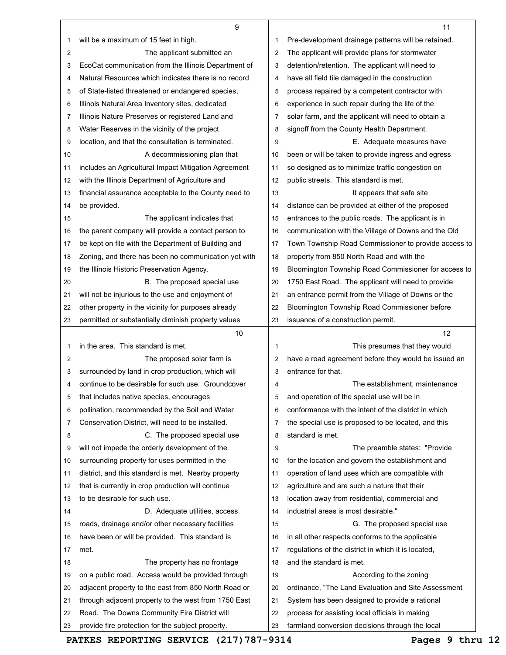| will be a maximum of 15 feet in high.<br>Pre-development drainage patterns will be retained.<br>1<br>1<br>The applicant submitted an<br>The applicant will provide plans for stormwater<br>2<br>$\overline{2}$<br>EcoCat communication from the Illinois Department of<br>detention/retention. The applicant will need to<br>3<br>3<br>Natural Resources which indicates there is no record<br>have all field tile damaged in the construction<br>4<br>4<br>of State-listed threatened or endangered species,<br>5<br>process repaired by a competent contractor with<br>5<br>Illinois Natural Area Inventory sites, dedicated<br>experience in such repair during the life of the<br>6<br>6<br>Illinois Nature Preserves or registered Land and<br>solar farm, and the applicant will need to obtain a<br>7<br>7<br>Water Reserves in the vicinity of the project<br>signoff from the County Health Department.<br>8<br>8<br>location, and that the consultation is terminated.<br>E. Adequate measures have<br>9<br>9<br>A decommissioning plan that<br>been or will be taken to provide ingress and egress<br>10<br>10<br>includes an Agricultural Impact Mitigation Agreement<br>so designed as to minimize traffic congestion on<br>11<br>11<br>public streets. This standard is met.<br>with the Illinois Department of Agriculture and<br>12<br>12<br>financial assurance acceptable to the County need to<br>13<br>It appears that safe site<br>13<br>be provided.<br>distance can be provided at either of the proposed<br>14<br>14<br>entrances to the public roads. The applicant is in<br>15<br>The applicant indicates that<br>15<br>the parent company will provide a contact person to<br>communication with the Village of Downs and the Old<br>16<br>16<br>be kept on file with the Department of Building and<br>Town Township Road Commissioner to provide access to<br>17<br>17<br>Zoning, and there has been no communication yet with<br>property from 850 North Road and with the<br>18<br>18<br>Bloomington Township Road Commissioner for access to<br>the Illinois Historic Preservation Agency.<br>19<br>19<br>1750 East Road. The applicant will need to provide<br>B. The proposed special use<br>20<br>20<br>an entrance permit from the Village of Downs or the<br>will not be injurious to the use and enjoyment of<br>21<br>21<br>Bloomington Township Road Commissioner before<br>other property in the vicinity for purposes already<br>22<br>22<br>permitted or substantially diminish property values<br>issuance of a construction permit.<br>23<br>23<br>10<br>12<br>in the area. This standard is met.<br>1<br>This presumes that they would<br>1<br>have a road agreement before they would be issued an<br>The proposed solar farm is<br>2<br>2<br>surrounded by land in crop production, which will<br>entrance for that.<br>3<br>3<br>continue to be desirable for such use. Groundcover<br>The establishment, maintenance<br>4<br>4<br>and operation of the special use will be in<br>that includes native species, encourages<br>b<br>5<br>pollination, recommended by the Soil and Water<br>conformance with the intent of the district in which<br>6<br>6<br>Conservation District, will need to be installed.<br>the special use is proposed to be located, and this<br>7<br>7<br>C. The proposed special use<br>standard is met.<br>8<br>8<br>will not impede the orderly development of the<br>9<br>The preamble states: "Provide"<br>9<br>surrounding property for uses permitted in the<br>for the location and govern the establishment and<br>10<br>10<br>operation of land uses which are compatible with<br>district, and this standard is met. Nearby property<br>11<br>11<br>that is currently in crop production will continue<br>agriculture and are such a nature that their<br>12<br>12<br>to be desirable for such use.<br>location away from residential, commercial and<br>13<br>13<br>industrial areas is most desirable."<br>D. Adequate utilities, access<br>14<br>14<br>roads, drainage and/or other necessary facilities<br>G. The proposed special use<br>15<br>15<br>have been or will be provided. This standard is<br>in all other respects conforms to the applicable<br>16<br>16<br>regulations of the district in which it is located,<br>17<br>met.<br>17<br>and the standard is met.<br>The property has no frontage<br>18<br>18<br>on a public road. Access would be provided through<br>According to the zoning<br>19<br>19<br>adjacent property to the east from 850 North Road or<br>ordinance, "The Land Evaluation and Site Assessment<br>20<br>20<br>through adjacent property to the west from 1750 East<br>21<br>System has been designed to provide a rational<br>21<br>Road. The Downs Community Fire District will<br>process for assisting local officials in making<br>22<br>22<br>provide fire protection for the subject property.<br>23<br>farmland conversion decisions through the local<br>23 | 9 | 11 |
|---------------------------------------------------------------------------------------------------------------------------------------------------------------------------------------------------------------------------------------------------------------------------------------------------------------------------------------------------------------------------------------------------------------------------------------------------------------------------------------------------------------------------------------------------------------------------------------------------------------------------------------------------------------------------------------------------------------------------------------------------------------------------------------------------------------------------------------------------------------------------------------------------------------------------------------------------------------------------------------------------------------------------------------------------------------------------------------------------------------------------------------------------------------------------------------------------------------------------------------------------------------------------------------------------------------------------------------------------------------------------------------------------------------------------------------------------------------------------------------------------------------------------------------------------------------------------------------------------------------------------------------------------------------------------------------------------------------------------------------------------------------------------------------------------------------------------------------------------------------------------------------------------------------------------------------------------------------------------------------------------------------------------------------------------------------------------------------------------------------------------------------------------------------------------------------------------------------------------------------------------------------------------------------------------------------------------------------------------------------------------------------------------------------------------------------------------------------------------------------------------------------------------------------------------------------------------------------------------------------------------------------------------------------------------------------------------------------------------------------------------------------------------------------------------------------------------------------------------------------------------------------------------------------------------------------------------------------------------------------------------------------------------------------------------------------------------------------------------------------------------------------------------------------------------------------------------------------------------------------------------------------------------------------------------------------------------------------------------------------------------------------------------------------------------------------------------------------------------------------------------------------------------------------------------------------------------------------------------------------------------------------------------------------------------------------------------------------------------------------------------------------------------------------------------------------------------------------------------------------------------------------------------------------------------------------------------------------------------------------------------------------------------------------------------------------------------------------------------------------------------------------------------------------------------------------------------------------------------------------------------------------------------------------------------------------------------------------------------------------------------------------------------------------------------------------------------------------------------------------------------------------------------------------------------------------------------------------------------------------------------------------------------------------------------------------------------------------------------------------------------------------------------------------------------------------------------------------------------------------------------------------------------------------------------------------------------------------------------------------------------|---|----|
|                                                                                                                                                                                                                                                                                                                                                                                                                                                                                                                                                                                                                                                                                                                                                                                                                                                                                                                                                                                                                                                                                                                                                                                                                                                                                                                                                                                                                                                                                                                                                                                                                                                                                                                                                                                                                                                                                                                                                                                                                                                                                                                                                                                                                                                                                                                                                                                                                                                                                                                                                                                                                                                                                                                                                                                                                                                                                                                                                                                                                                                                                                                                                                                                                                                                                                                                                                                                                                                                                                                                                                                                                                                                                                                                                                                                                                                                                                                                                                                                                                                                                                                                                                                                                                                                                                                                                                                                                                                                                                                                                                                                                                                                                                                                                                                                                                                                                                                                                                                                   |   |    |
|                                                                                                                                                                                                                                                                                                                                                                                                                                                                                                                                                                                                                                                                                                                                                                                                                                                                                                                                                                                                                                                                                                                                                                                                                                                                                                                                                                                                                                                                                                                                                                                                                                                                                                                                                                                                                                                                                                                                                                                                                                                                                                                                                                                                                                                                                                                                                                                                                                                                                                                                                                                                                                                                                                                                                                                                                                                                                                                                                                                                                                                                                                                                                                                                                                                                                                                                                                                                                                                                                                                                                                                                                                                                                                                                                                                                                                                                                                                                                                                                                                                                                                                                                                                                                                                                                                                                                                                                                                                                                                                                                                                                                                                                                                                                                                                                                                                                                                                                                                                                   |   |    |
|                                                                                                                                                                                                                                                                                                                                                                                                                                                                                                                                                                                                                                                                                                                                                                                                                                                                                                                                                                                                                                                                                                                                                                                                                                                                                                                                                                                                                                                                                                                                                                                                                                                                                                                                                                                                                                                                                                                                                                                                                                                                                                                                                                                                                                                                                                                                                                                                                                                                                                                                                                                                                                                                                                                                                                                                                                                                                                                                                                                                                                                                                                                                                                                                                                                                                                                                                                                                                                                                                                                                                                                                                                                                                                                                                                                                                                                                                                                                                                                                                                                                                                                                                                                                                                                                                                                                                                                                                                                                                                                                                                                                                                                                                                                                                                                                                                                                                                                                                                                                   |   |    |
|                                                                                                                                                                                                                                                                                                                                                                                                                                                                                                                                                                                                                                                                                                                                                                                                                                                                                                                                                                                                                                                                                                                                                                                                                                                                                                                                                                                                                                                                                                                                                                                                                                                                                                                                                                                                                                                                                                                                                                                                                                                                                                                                                                                                                                                                                                                                                                                                                                                                                                                                                                                                                                                                                                                                                                                                                                                                                                                                                                                                                                                                                                                                                                                                                                                                                                                                                                                                                                                                                                                                                                                                                                                                                                                                                                                                                                                                                                                                                                                                                                                                                                                                                                                                                                                                                                                                                                                                                                                                                                                                                                                                                                                                                                                                                                                                                                                                                                                                                                                                   |   |    |
|                                                                                                                                                                                                                                                                                                                                                                                                                                                                                                                                                                                                                                                                                                                                                                                                                                                                                                                                                                                                                                                                                                                                                                                                                                                                                                                                                                                                                                                                                                                                                                                                                                                                                                                                                                                                                                                                                                                                                                                                                                                                                                                                                                                                                                                                                                                                                                                                                                                                                                                                                                                                                                                                                                                                                                                                                                                                                                                                                                                                                                                                                                                                                                                                                                                                                                                                                                                                                                                                                                                                                                                                                                                                                                                                                                                                                                                                                                                                                                                                                                                                                                                                                                                                                                                                                                                                                                                                                                                                                                                                                                                                                                                                                                                                                                                                                                                                                                                                                                                                   |   |    |
|                                                                                                                                                                                                                                                                                                                                                                                                                                                                                                                                                                                                                                                                                                                                                                                                                                                                                                                                                                                                                                                                                                                                                                                                                                                                                                                                                                                                                                                                                                                                                                                                                                                                                                                                                                                                                                                                                                                                                                                                                                                                                                                                                                                                                                                                                                                                                                                                                                                                                                                                                                                                                                                                                                                                                                                                                                                                                                                                                                                                                                                                                                                                                                                                                                                                                                                                                                                                                                                                                                                                                                                                                                                                                                                                                                                                                                                                                                                                                                                                                                                                                                                                                                                                                                                                                                                                                                                                                                                                                                                                                                                                                                                                                                                                                                                                                                                                                                                                                                                                   |   |    |
|                                                                                                                                                                                                                                                                                                                                                                                                                                                                                                                                                                                                                                                                                                                                                                                                                                                                                                                                                                                                                                                                                                                                                                                                                                                                                                                                                                                                                                                                                                                                                                                                                                                                                                                                                                                                                                                                                                                                                                                                                                                                                                                                                                                                                                                                                                                                                                                                                                                                                                                                                                                                                                                                                                                                                                                                                                                                                                                                                                                                                                                                                                                                                                                                                                                                                                                                                                                                                                                                                                                                                                                                                                                                                                                                                                                                                                                                                                                                                                                                                                                                                                                                                                                                                                                                                                                                                                                                                                                                                                                                                                                                                                                                                                                                                                                                                                                                                                                                                                                                   |   |    |
|                                                                                                                                                                                                                                                                                                                                                                                                                                                                                                                                                                                                                                                                                                                                                                                                                                                                                                                                                                                                                                                                                                                                                                                                                                                                                                                                                                                                                                                                                                                                                                                                                                                                                                                                                                                                                                                                                                                                                                                                                                                                                                                                                                                                                                                                                                                                                                                                                                                                                                                                                                                                                                                                                                                                                                                                                                                                                                                                                                                                                                                                                                                                                                                                                                                                                                                                                                                                                                                                                                                                                                                                                                                                                                                                                                                                                                                                                                                                                                                                                                                                                                                                                                                                                                                                                                                                                                                                                                                                                                                                                                                                                                                                                                                                                                                                                                                                                                                                                                                                   |   |    |
|                                                                                                                                                                                                                                                                                                                                                                                                                                                                                                                                                                                                                                                                                                                                                                                                                                                                                                                                                                                                                                                                                                                                                                                                                                                                                                                                                                                                                                                                                                                                                                                                                                                                                                                                                                                                                                                                                                                                                                                                                                                                                                                                                                                                                                                                                                                                                                                                                                                                                                                                                                                                                                                                                                                                                                                                                                                                                                                                                                                                                                                                                                                                                                                                                                                                                                                                                                                                                                                                                                                                                                                                                                                                                                                                                                                                                                                                                                                                                                                                                                                                                                                                                                                                                                                                                                                                                                                                                                                                                                                                                                                                                                                                                                                                                                                                                                                                                                                                                                                                   |   |    |
|                                                                                                                                                                                                                                                                                                                                                                                                                                                                                                                                                                                                                                                                                                                                                                                                                                                                                                                                                                                                                                                                                                                                                                                                                                                                                                                                                                                                                                                                                                                                                                                                                                                                                                                                                                                                                                                                                                                                                                                                                                                                                                                                                                                                                                                                                                                                                                                                                                                                                                                                                                                                                                                                                                                                                                                                                                                                                                                                                                                                                                                                                                                                                                                                                                                                                                                                                                                                                                                                                                                                                                                                                                                                                                                                                                                                                                                                                                                                                                                                                                                                                                                                                                                                                                                                                                                                                                                                                                                                                                                                                                                                                                                                                                                                                                                                                                                                                                                                                                                                   |   |    |
|                                                                                                                                                                                                                                                                                                                                                                                                                                                                                                                                                                                                                                                                                                                                                                                                                                                                                                                                                                                                                                                                                                                                                                                                                                                                                                                                                                                                                                                                                                                                                                                                                                                                                                                                                                                                                                                                                                                                                                                                                                                                                                                                                                                                                                                                                                                                                                                                                                                                                                                                                                                                                                                                                                                                                                                                                                                                                                                                                                                                                                                                                                                                                                                                                                                                                                                                                                                                                                                                                                                                                                                                                                                                                                                                                                                                                                                                                                                                                                                                                                                                                                                                                                                                                                                                                                                                                                                                                                                                                                                                                                                                                                                                                                                                                                                                                                                                                                                                                                                                   |   |    |
|                                                                                                                                                                                                                                                                                                                                                                                                                                                                                                                                                                                                                                                                                                                                                                                                                                                                                                                                                                                                                                                                                                                                                                                                                                                                                                                                                                                                                                                                                                                                                                                                                                                                                                                                                                                                                                                                                                                                                                                                                                                                                                                                                                                                                                                                                                                                                                                                                                                                                                                                                                                                                                                                                                                                                                                                                                                                                                                                                                                                                                                                                                                                                                                                                                                                                                                                                                                                                                                                                                                                                                                                                                                                                                                                                                                                                                                                                                                                                                                                                                                                                                                                                                                                                                                                                                                                                                                                                                                                                                                                                                                                                                                                                                                                                                                                                                                                                                                                                                                                   |   |    |
|                                                                                                                                                                                                                                                                                                                                                                                                                                                                                                                                                                                                                                                                                                                                                                                                                                                                                                                                                                                                                                                                                                                                                                                                                                                                                                                                                                                                                                                                                                                                                                                                                                                                                                                                                                                                                                                                                                                                                                                                                                                                                                                                                                                                                                                                                                                                                                                                                                                                                                                                                                                                                                                                                                                                                                                                                                                                                                                                                                                                                                                                                                                                                                                                                                                                                                                                                                                                                                                                                                                                                                                                                                                                                                                                                                                                                                                                                                                                                                                                                                                                                                                                                                                                                                                                                                                                                                                                                                                                                                                                                                                                                                                                                                                                                                                                                                                                                                                                                                                                   |   |    |
|                                                                                                                                                                                                                                                                                                                                                                                                                                                                                                                                                                                                                                                                                                                                                                                                                                                                                                                                                                                                                                                                                                                                                                                                                                                                                                                                                                                                                                                                                                                                                                                                                                                                                                                                                                                                                                                                                                                                                                                                                                                                                                                                                                                                                                                                                                                                                                                                                                                                                                                                                                                                                                                                                                                                                                                                                                                                                                                                                                                                                                                                                                                                                                                                                                                                                                                                                                                                                                                                                                                                                                                                                                                                                                                                                                                                                                                                                                                                                                                                                                                                                                                                                                                                                                                                                                                                                                                                                                                                                                                                                                                                                                                                                                                                                                                                                                                                                                                                                                                                   |   |    |
|                                                                                                                                                                                                                                                                                                                                                                                                                                                                                                                                                                                                                                                                                                                                                                                                                                                                                                                                                                                                                                                                                                                                                                                                                                                                                                                                                                                                                                                                                                                                                                                                                                                                                                                                                                                                                                                                                                                                                                                                                                                                                                                                                                                                                                                                                                                                                                                                                                                                                                                                                                                                                                                                                                                                                                                                                                                                                                                                                                                                                                                                                                                                                                                                                                                                                                                                                                                                                                                                                                                                                                                                                                                                                                                                                                                                                                                                                                                                                                                                                                                                                                                                                                                                                                                                                                                                                                                                                                                                                                                                                                                                                                                                                                                                                                                                                                                                                                                                                                                                   |   |    |
|                                                                                                                                                                                                                                                                                                                                                                                                                                                                                                                                                                                                                                                                                                                                                                                                                                                                                                                                                                                                                                                                                                                                                                                                                                                                                                                                                                                                                                                                                                                                                                                                                                                                                                                                                                                                                                                                                                                                                                                                                                                                                                                                                                                                                                                                                                                                                                                                                                                                                                                                                                                                                                                                                                                                                                                                                                                                                                                                                                                                                                                                                                                                                                                                                                                                                                                                                                                                                                                                                                                                                                                                                                                                                                                                                                                                                                                                                                                                                                                                                                                                                                                                                                                                                                                                                                                                                                                                                                                                                                                                                                                                                                                                                                                                                                                                                                                                                                                                                                                                   |   |    |
|                                                                                                                                                                                                                                                                                                                                                                                                                                                                                                                                                                                                                                                                                                                                                                                                                                                                                                                                                                                                                                                                                                                                                                                                                                                                                                                                                                                                                                                                                                                                                                                                                                                                                                                                                                                                                                                                                                                                                                                                                                                                                                                                                                                                                                                                                                                                                                                                                                                                                                                                                                                                                                                                                                                                                                                                                                                                                                                                                                                                                                                                                                                                                                                                                                                                                                                                                                                                                                                                                                                                                                                                                                                                                                                                                                                                                                                                                                                                                                                                                                                                                                                                                                                                                                                                                                                                                                                                                                                                                                                                                                                                                                                                                                                                                                                                                                                                                                                                                                                                   |   |    |
|                                                                                                                                                                                                                                                                                                                                                                                                                                                                                                                                                                                                                                                                                                                                                                                                                                                                                                                                                                                                                                                                                                                                                                                                                                                                                                                                                                                                                                                                                                                                                                                                                                                                                                                                                                                                                                                                                                                                                                                                                                                                                                                                                                                                                                                                                                                                                                                                                                                                                                                                                                                                                                                                                                                                                                                                                                                                                                                                                                                                                                                                                                                                                                                                                                                                                                                                                                                                                                                                                                                                                                                                                                                                                                                                                                                                                                                                                                                                                                                                                                                                                                                                                                                                                                                                                                                                                                                                                                                                                                                                                                                                                                                                                                                                                                                                                                                                                                                                                                                                   |   |    |
|                                                                                                                                                                                                                                                                                                                                                                                                                                                                                                                                                                                                                                                                                                                                                                                                                                                                                                                                                                                                                                                                                                                                                                                                                                                                                                                                                                                                                                                                                                                                                                                                                                                                                                                                                                                                                                                                                                                                                                                                                                                                                                                                                                                                                                                                                                                                                                                                                                                                                                                                                                                                                                                                                                                                                                                                                                                                                                                                                                                                                                                                                                                                                                                                                                                                                                                                                                                                                                                                                                                                                                                                                                                                                                                                                                                                                                                                                                                                                                                                                                                                                                                                                                                                                                                                                                                                                                                                                                                                                                                                                                                                                                                                                                                                                                                                                                                                                                                                                                                                   |   |    |
|                                                                                                                                                                                                                                                                                                                                                                                                                                                                                                                                                                                                                                                                                                                                                                                                                                                                                                                                                                                                                                                                                                                                                                                                                                                                                                                                                                                                                                                                                                                                                                                                                                                                                                                                                                                                                                                                                                                                                                                                                                                                                                                                                                                                                                                                                                                                                                                                                                                                                                                                                                                                                                                                                                                                                                                                                                                                                                                                                                                                                                                                                                                                                                                                                                                                                                                                                                                                                                                                                                                                                                                                                                                                                                                                                                                                                                                                                                                                                                                                                                                                                                                                                                                                                                                                                                                                                                                                                                                                                                                                                                                                                                                                                                                                                                                                                                                                                                                                                                                                   |   |    |
|                                                                                                                                                                                                                                                                                                                                                                                                                                                                                                                                                                                                                                                                                                                                                                                                                                                                                                                                                                                                                                                                                                                                                                                                                                                                                                                                                                                                                                                                                                                                                                                                                                                                                                                                                                                                                                                                                                                                                                                                                                                                                                                                                                                                                                                                                                                                                                                                                                                                                                                                                                                                                                                                                                                                                                                                                                                                                                                                                                                                                                                                                                                                                                                                                                                                                                                                                                                                                                                                                                                                                                                                                                                                                                                                                                                                                                                                                                                                                                                                                                                                                                                                                                                                                                                                                                                                                                                                                                                                                                                                                                                                                                                                                                                                                                                                                                                                                                                                                                                                   |   |    |
|                                                                                                                                                                                                                                                                                                                                                                                                                                                                                                                                                                                                                                                                                                                                                                                                                                                                                                                                                                                                                                                                                                                                                                                                                                                                                                                                                                                                                                                                                                                                                                                                                                                                                                                                                                                                                                                                                                                                                                                                                                                                                                                                                                                                                                                                                                                                                                                                                                                                                                                                                                                                                                                                                                                                                                                                                                                                                                                                                                                                                                                                                                                                                                                                                                                                                                                                                                                                                                                                                                                                                                                                                                                                                                                                                                                                                                                                                                                                                                                                                                                                                                                                                                                                                                                                                                                                                                                                                                                                                                                                                                                                                                                                                                                                                                                                                                                                                                                                                                                                   |   |    |
|                                                                                                                                                                                                                                                                                                                                                                                                                                                                                                                                                                                                                                                                                                                                                                                                                                                                                                                                                                                                                                                                                                                                                                                                                                                                                                                                                                                                                                                                                                                                                                                                                                                                                                                                                                                                                                                                                                                                                                                                                                                                                                                                                                                                                                                                                                                                                                                                                                                                                                                                                                                                                                                                                                                                                                                                                                                                                                                                                                                                                                                                                                                                                                                                                                                                                                                                                                                                                                                                                                                                                                                                                                                                                                                                                                                                                                                                                                                                                                                                                                                                                                                                                                                                                                                                                                                                                                                                                                                                                                                                                                                                                                                                                                                                                                                                                                                                                                                                                                                                   |   |    |
|                                                                                                                                                                                                                                                                                                                                                                                                                                                                                                                                                                                                                                                                                                                                                                                                                                                                                                                                                                                                                                                                                                                                                                                                                                                                                                                                                                                                                                                                                                                                                                                                                                                                                                                                                                                                                                                                                                                                                                                                                                                                                                                                                                                                                                                                                                                                                                                                                                                                                                                                                                                                                                                                                                                                                                                                                                                                                                                                                                                                                                                                                                                                                                                                                                                                                                                                                                                                                                                                                                                                                                                                                                                                                                                                                                                                                                                                                                                                                                                                                                                                                                                                                                                                                                                                                                                                                                                                                                                                                                                                                                                                                                                                                                                                                                                                                                                                                                                                                                                                   |   |    |
|                                                                                                                                                                                                                                                                                                                                                                                                                                                                                                                                                                                                                                                                                                                                                                                                                                                                                                                                                                                                                                                                                                                                                                                                                                                                                                                                                                                                                                                                                                                                                                                                                                                                                                                                                                                                                                                                                                                                                                                                                                                                                                                                                                                                                                                                                                                                                                                                                                                                                                                                                                                                                                                                                                                                                                                                                                                                                                                                                                                                                                                                                                                                                                                                                                                                                                                                                                                                                                                                                                                                                                                                                                                                                                                                                                                                                                                                                                                                                                                                                                                                                                                                                                                                                                                                                                                                                                                                                                                                                                                                                                                                                                                                                                                                                                                                                                                                                                                                                                                                   |   |    |
|                                                                                                                                                                                                                                                                                                                                                                                                                                                                                                                                                                                                                                                                                                                                                                                                                                                                                                                                                                                                                                                                                                                                                                                                                                                                                                                                                                                                                                                                                                                                                                                                                                                                                                                                                                                                                                                                                                                                                                                                                                                                                                                                                                                                                                                                                                                                                                                                                                                                                                                                                                                                                                                                                                                                                                                                                                                                                                                                                                                                                                                                                                                                                                                                                                                                                                                                                                                                                                                                                                                                                                                                                                                                                                                                                                                                                                                                                                                                                                                                                                                                                                                                                                                                                                                                                                                                                                                                                                                                                                                                                                                                                                                                                                                                                                                                                                                                                                                                                                                                   |   |    |
|                                                                                                                                                                                                                                                                                                                                                                                                                                                                                                                                                                                                                                                                                                                                                                                                                                                                                                                                                                                                                                                                                                                                                                                                                                                                                                                                                                                                                                                                                                                                                                                                                                                                                                                                                                                                                                                                                                                                                                                                                                                                                                                                                                                                                                                                                                                                                                                                                                                                                                                                                                                                                                                                                                                                                                                                                                                                                                                                                                                                                                                                                                                                                                                                                                                                                                                                                                                                                                                                                                                                                                                                                                                                                                                                                                                                                                                                                                                                                                                                                                                                                                                                                                                                                                                                                                                                                                                                                                                                                                                                                                                                                                                                                                                                                                                                                                                                                                                                                                                                   |   |    |
|                                                                                                                                                                                                                                                                                                                                                                                                                                                                                                                                                                                                                                                                                                                                                                                                                                                                                                                                                                                                                                                                                                                                                                                                                                                                                                                                                                                                                                                                                                                                                                                                                                                                                                                                                                                                                                                                                                                                                                                                                                                                                                                                                                                                                                                                                                                                                                                                                                                                                                                                                                                                                                                                                                                                                                                                                                                                                                                                                                                                                                                                                                                                                                                                                                                                                                                                                                                                                                                                                                                                                                                                                                                                                                                                                                                                                                                                                                                                                                                                                                                                                                                                                                                                                                                                                                                                                                                                                                                                                                                                                                                                                                                                                                                                                                                                                                                                                                                                                                                                   |   |    |
|                                                                                                                                                                                                                                                                                                                                                                                                                                                                                                                                                                                                                                                                                                                                                                                                                                                                                                                                                                                                                                                                                                                                                                                                                                                                                                                                                                                                                                                                                                                                                                                                                                                                                                                                                                                                                                                                                                                                                                                                                                                                                                                                                                                                                                                                                                                                                                                                                                                                                                                                                                                                                                                                                                                                                                                                                                                                                                                                                                                                                                                                                                                                                                                                                                                                                                                                                                                                                                                                                                                                                                                                                                                                                                                                                                                                                                                                                                                                                                                                                                                                                                                                                                                                                                                                                                                                                                                                                                                                                                                                                                                                                                                                                                                                                                                                                                                                                                                                                                                                   |   |    |
|                                                                                                                                                                                                                                                                                                                                                                                                                                                                                                                                                                                                                                                                                                                                                                                                                                                                                                                                                                                                                                                                                                                                                                                                                                                                                                                                                                                                                                                                                                                                                                                                                                                                                                                                                                                                                                                                                                                                                                                                                                                                                                                                                                                                                                                                                                                                                                                                                                                                                                                                                                                                                                                                                                                                                                                                                                                                                                                                                                                                                                                                                                                                                                                                                                                                                                                                                                                                                                                                                                                                                                                                                                                                                                                                                                                                                                                                                                                                                                                                                                                                                                                                                                                                                                                                                                                                                                                                                                                                                                                                                                                                                                                                                                                                                                                                                                                                                                                                                                                                   |   |    |
|                                                                                                                                                                                                                                                                                                                                                                                                                                                                                                                                                                                                                                                                                                                                                                                                                                                                                                                                                                                                                                                                                                                                                                                                                                                                                                                                                                                                                                                                                                                                                                                                                                                                                                                                                                                                                                                                                                                                                                                                                                                                                                                                                                                                                                                                                                                                                                                                                                                                                                                                                                                                                                                                                                                                                                                                                                                                                                                                                                                                                                                                                                                                                                                                                                                                                                                                                                                                                                                                                                                                                                                                                                                                                                                                                                                                                                                                                                                                                                                                                                                                                                                                                                                                                                                                                                                                                                                                                                                                                                                                                                                                                                                                                                                                                                                                                                                                                                                                                                                                   |   |    |
|                                                                                                                                                                                                                                                                                                                                                                                                                                                                                                                                                                                                                                                                                                                                                                                                                                                                                                                                                                                                                                                                                                                                                                                                                                                                                                                                                                                                                                                                                                                                                                                                                                                                                                                                                                                                                                                                                                                                                                                                                                                                                                                                                                                                                                                                                                                                                                                                                                                                                                                                                                                                                                                                                                                                                                                                                                                                                                                                                                                                                                                                                                                                                                                                                                                                                                                                                                                                                                                                                                                                                                                                                                                                                                                                                                                                                                                                                                                                                                                                                                                                                                                                                                                                                                                                                                                                                                                                                                                                                                                                                                                                                                                                                                                                                                                                                                                                                                                                                                                                   |   |    |
|                                                                                                                                                                                                                                                                                                                                                                                                                                                                                                                                                                                                                                                                                                                                                                                                                                                                                                                                                                                                                                                                                                                                                                                                                                                                                                                                                                                                                                                                                                                                                                                                                                                                                                                                                                                                                                                                                                                                                                                                                                                                                                                                                                                                                                                                                                                                                                                                                                                                                                                                                                                                                                                                                                                                                                                                                                                                                                                                                                                                                                                                                                                                                                                                                                                                                                                                                                                                                                                                                                                                                                                                                                                                                                                                                                                                                                                                                                                                                                                                                                                                                                                                                                                                                                                                                                                                                                                                                                                                                                                                                                                                                                                                                                                                                                                                                                                                                                                                                                                                   |   |    |
|                                                                                                                                                                                                                                                                                                                                                                                                                                                                                                                                                                                                                                                                                                                                                                                                                                                                                                                                                                                                                                                                                                                                                                                                                                                                                                                                                                                                                                                                                                                                                                                                                                                                                                                                                                                                                                                                                                                                                                                                                                                                                                                                                                                                                                                                                                                                                                                                                                                                                                                                                                                                                                                                                                                                                                                                                                                                                                                                                                                                                                                                                                                                                                                                                                                                                                                                                                                                                                                                                                                                                                                                                                                                                                                                                                                                                                                                                                                                                                                                                                                                                                                                                                                                                                                                                                                                                                                                                                                                                                                                                                                                                                                                                                                                                                                                                                                                                                                                                                                                   |   |    |
|                                                                                                                                                                                                                                                                                                                                                                                                                                                                                                                                                                                                                                                                                                                                                                                                                                                                                                                                                                                                                                                                                                                                                                                                                                                                                                                                                                                                                                                                                                                                                                                                                                                                                                                                                                                                                                                                                                                                                                                                                                                                                                                                                                                                                                                                                                                                                                                                                                                                                                                                                                                                                                                                                                                                                                                                                                                                                                                                                                                                                                                                                                                                                                                                                                                                                                                                                                                                                                                                                                                                                                                                                                                                                                                                                                                                                                                                                                                                                                                                                                                                                                                                                                                                                                                                                                                                                                                                                                                                                                                                                                                                                                                                                                                                                                                                                                                                                                                                                                                                   |   |    |
|                                                                                                                                                                                                                                                                                                                                                                                                                                                                                                                                                                                                                                                                                                                                                                                                                                                                                                                                                                                                                                                                                                                                                                                                                                                                                                                                                                                                                                                                                                                                                                                                                                                                                                                                                                                                                                                                                                                                                                                                                                                                                                                                                                                                                                                                                                                                                                                                                                                                                                                                                                                                                                                                                                                                                                                                                                                                                                                                                                                                                                                                                                                                                                                                                                                                                                                                                                                                                                                                                                                                                                                                                                                                                                                                                                                                                                                                                                                                                                                                                                                                                                                                                                                                                                                                                                                                                                                                                                                                                                                                                                                                                                                                                                                                                                                                                                                                                                                                                                                                   |   |    |
|                                                                                                                                                                                                                                                                                                                                                                                                                                                                                                                                                                                                                                                                                                                                                                                                                                                                                                                                                                                                                                                                                                                                                                                                                                                                                                                                                                                                                                                                                                                                                                                                                                                                                                                                                                                                                                                                                                                                                                                                                                                                                                                                                                                                                                                                                                                                                                                                                                                                                                                                                                                                                                                                                                                                                                                                                                                                                                                                                                                                                                                                                                                                                                                                                                                                                                                                                                                                                                                                                                                                                                                                                                                                                                                                                                                                                                                                                                                                                                                                                                                                                                                                                                                                                                                                                                                                                                                                                                                                                                                                                                                                                                                                                                                                                                                                                                                                                                                                                                                                   |   |    |
|                                                                                                                                                                                                                                                                                                                                                                                                                                                                                                                                                                                                                                                                                                                                                                                                                                                                                                                                                                                                                                                                                                                                                                                                                                                                                                                                                                                                                                                                                                                                                                                                                                                                                                                                                                                                                                                                                                                                                                                                                                                                                                                                                                                                                                                                                                                                                                                                                                                                                                                                                                                                                                                                                                                                                                                                                                                                                                                                                                                                                                                                                                                                                                                                                                                                                                                                                                                                                                                                                                                                                                                                                                                                                                                                                                                                                                                                                                                                                                                                                                                                                                                                                                                                                                                                                                                                                                                                                                                                                                                                                                                                                                                                                                                                                                                                                                                                                                                                                                                                   |   |    |
|                                                                                                                                                                                                                                                                                                                                                                                                                                                                                                                                                                                                                                                                                                                                                                                                                                                                                                                                                                                                                                                                                                                                                                                                                                                                                                                                                                                                                                                                                                                                                                                                                                                                                                                                                                                                                                                                                                                                                                                                                                                                                                                                                                                                                                                                                                                                                                                                                                                                                                                                                                                                                                                                                                                                                                                                                                                                                                                                                                                                                                                                                                                                                                                                                                                                                                                                                                                                                                                                                                                                                                                                                                                                                                                                                                                                                                                                                                                                                                                                                                                                                                                                                                                                                                                                                                                                                                                                                                                                                                                                                                                                                                                                                                                                                                                                                                                                                                                                                                                                   |   |    |
|                                                                                                                                                                                                                                                                                                                                                                                                                                                                                                                                                                                                                                                                                                                                                                                                                                                                                                                                                                                                                                                                                                                                                                                                                                                                                                                                                                                                                                                                                                                                                                                                                                                                                                                                                                                                                                                                                                                                                                                                                                                                                                                                                                                                                                                                                                                                                                                                                                                                                                                                                                                                                                                                                                                                                                                                                                                                                                                                                                                                                                                                                                                                                                                                                                                                                                                                                                                                                                                                                                                                                                                                                                                                                                                                                                                                                                                                                                                                                                                                                                                                                                                                                                                                                                                                                                                                                                                                                                                                                                                                                                                                                                                                                                                                                                                                                                                                                                                                                                                                   |   |    |
|                                                                                                                                                                                                                                                                                                                                                                                                                                                                                                                                                                                                                                                                                                                                                                                                                                                                                                                                                                                                                                                                                                                                                                                                                                                                                                                                                                                                                                                                                                                                                                                                                                                                                                                                                                                                                                                                                                                                                                                                                                                                                                                                                                                                                                                                                                                                                                                                                                                                                                                                                                                                                                                                                                                                                                                                                                                                                                                                                                                                                                                                                                                                                                                                                                                                                                                                                                                                                                                                                                                                                                                                                                                                                                                                                                                                                                                                                                                                                                                                                                                                                                                                                                                                                                                                                                                                                                                                                                                                                                                                                                                                                                                                                                                                                                                                                                                                                                                                                                                                   |   |    |
|                                                                                                                                                                                                                                                                                                                                                                                                                                                                                                                                                                                                                                                                                                                                                                                                                                                                                                                                                                                                                                                                                                                                                                                                                                                                                                                                                                                                                                                                                                                                                                                                                                                                                                                                                                                                                                                                                                                                                                                                                                                                                                                                                                                                                                                                                                                                                                                                                                                                                                                                                                                                                                                                                                                                                                                                                                                                                                                                                                                                                                                                                                                                                                                                                                                                                                                                                                                                                                                                                                                                                                                                                                                                                                                                                                                                                                                                                                                                                                                                                                                                                                                                                                                                                                                                                                                                                                                                                                                                                                                                                                                                                                                                                                                                                                                                                                                                                                                                                                                                   |   |    |
|                                                                                                                                                                                                                                                                                                                                                                                                                                                                                                                                                                                                                                                                                                                                                                                                                                                                                                                                                                                                                                                                                                                                                                                                                                                                                                                                                                                                                                                                                                                                                                                                                                                                                                                                                                                                                                                                                                                                                                                                                                                                                                                                                                                                                                                                                                                                                                                                                                                                                                                                                                                                                                                                                                                                                                                                                                                                                                                                                                                                                                                                                                                                                                                                                                                                                                                                                                                                                                                                                                                                                                                                                                                                                                                                                                                                                                                                                                                                                                                                                                                                                                                                                                                                                                                                                                                                                                                                                                                                                                                                                                                                                                                                                                                                                                                                                                                                                                                                                                                                   |   |    |
|                                                                                                                                                                                                                                                                                                                                                                                                                                                                                                                                                                                                                                                                                                                                                                                                                                                                                                                                                                                                                                                                                                                                                                                                                                                                                                                                                                                                                                                                                                                                                                                                                                                                                                                                                                                                                                                                                                                                                                                                                                                                                                                                                                                                                                                                                                                                                                                                                                                                                                                                                                                                                                                                                                                                                                                                                                                                                                                                                                                                                                                                                                                                                                                                                                                                                                                                                                                                                                                                                                                                                                                                                                                                                                                                                                                                                                                                                                                                                                                                                                                                                                                                                                                                                                                                                                                                                                                                                                                                                                                                                                                                                                                                                                                                                                                                                                                                                                                                                                                                   |   |    |
|                                                                                                                                                                                                                                                                                                                                                                                                                                                                                                                                                                                                                                                                                                                                                                                                                                                                                                                                                                                                                                                                                                                                                                                                                                                                                                                                                                                                                                                                                                                                                                                                                                                                                                                                                                                                                                                                                                                                                                                                                                                                                                                                                                                                                                                                                                                                                                                                                                                                                                                                                                                                                                                                                                                                                                                                                                                                                                                                                                                                                                                                                                                                                                                                                                                                                                                                                                                                                                                                                                                                                                                                                                                                                                                                                                                                                                                                                                                                                                                                                                                                                                                                                                                                                                                                                                                                                                                                                                                                                                                                                                                                                                                                                                                                                                                                                                                                                                                                                                                                   |   |    |
|                                                                                                                                                                                                                                                                                                                                                                                                                                                                                                                                                                                                                                                                                                                                                                                                                                                                                                                                                                                                                                                                                                                                                                                                                                                                                                                                                                                                                                                                                                                                                                                                                                                                                                                                                                                                                                                                                                                                                                                                                                                                                                                                                                                                                                                                                                                                                                                                                                                                                                                                                                                                                                                                                                                                                                                                                                                                                                                                                                                                                                                                                                                                                                                                                                                                                                                                                                                                                                                                                                                                                                                                                                                                                                                                                                                                                                                                                                                                                                                                                                                                                                                                                                                                                                                                                                                                                                                                                                                                                                                                                                                                                                                                                                                                                                                                                                                                                                                                                                                                   |   |    |
|                                                                                                                                                                                                                                                                                                                                                                                                                                                                                                                                                                                                                                                                                                                                                                                                                                                                                                                                                                                                                                                                                                                                                                                                                                                                                                                                                                                                                                                                                                                                                                                                                                                                                                                                                                                                                                                                                                                                                                                                                                                                                                                                                                                                                                                                                                                                                                                                                                                                                                                                                                                                                                                                                                                                                                                                                                                                                                                                                                                                                                                                                                                                                                                                                                                                                                                                                                                                                                                                                                                                                                                                                                                                                                                                                                                                                                                                                                                                                                                                                                                                                                                                                                                                                                                                                                                                                                                                                                                                                                                                                                                                                                                                                                                                                                                                                                                                                                                                                                                                   |   |    |

┑

Г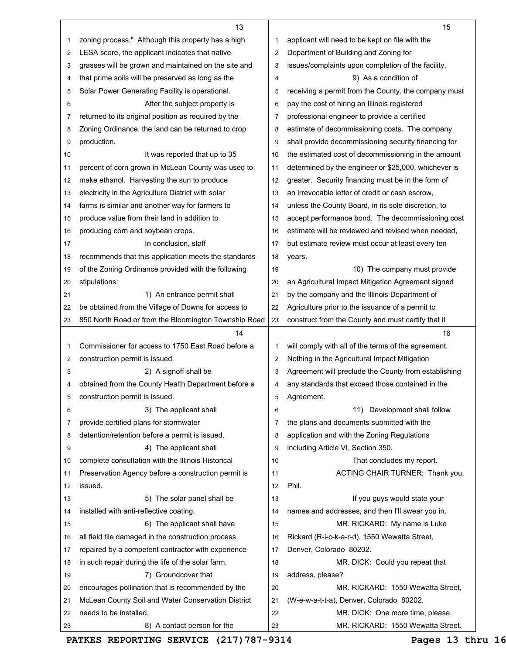|    | 13                                                                                                          |    | 15                                                   |
|----|-------------------------------------------------------------------------------------------------------------|----|------------------------------------------------------|
| 1  | zoning process." Although this property has a high                                                          | 1  | applicant will need to be kept on file with the      |
| 2  | LESA score, the applicant indicates that native                                                             | 2  | Department of Building and Zoning for                |
| 3  | grasses will be grown and maintained on the site and                                                        | 3  | issues/complaints upon completion of the facility.   |
| 4  | that prime soils will be preserved as long as the                                                           | 4  | 9) As a condition of                                 |
| 5  | Solar Power Generating Facility is operational.                                                             | 5  | receiving a permit from the County, the company must |
| 6  | After the subject property is                                                                               | 6  | pay the cost of hiring an Illinois registered        |
| 7  | returned to its original position as required by the                                                        | 7  | professional engineer to provide a certified         |
| 8  | Zoning Ordinance, the land can be returned to crop                                                          | 8  | estimate of decommissioning costs. The company       |
| 9  | production.                                                                                                 | 9  | shall provide decommissioning security financing for |
| 10 | It was reported that up to 35                                                                               | 10 | the estimated cost of decommissioning in the amount  |
| 11 | percent of corn grown in McLean County was used to                                                          | 11 | determined by the engineer or \$25,000, whichever is |
| 12 | make ethanol. Harvesting the sun to produce                                                                 | 12 | greater. Security financing must be in the form of   |
| 13 | electricity in the Agriculture District with solar                                                          | 13 | an irrevocable letter of credit or cash escrow.      |
| 14 | farms is similar and another way for farmers to                                                             | 14 | unless the County Board, in its sole discretion, to  |
| 15 | produce value from their land in addition to                                                                | 15 | accept performance bond. The decommissioning cost    |
| 16 | producing corn and soybean crops.                                                                           | 16 | estimate will be reviewed and revised when needed,   |
|    | In conclusion, staff                                                                                        | 17 | but estimate review must occur at least every ten    |
| 17 |                                                                                                             | 18 |                                                      |
| 18 | recommends that this application meets the standards<br>of the Zoning Ordinance provided with the following | 19 | years.<br>10) The company must provide               |
| 19 | stipulations:                                                                                               | 20 | an Agricultural Impact Mitigation Agreement signed   |
| 20 |                                                                                                             |    |                                                      |
| 21 | 1) An entrance permit shall                                                                                 | 21 | by the company and the Illinois Department of        |
| 22 | be obtained from the Village of Downs for access to                                                         | 22 | Agriculture prior to the issuance of a permit to     |
| 23 | 850 North Road or from the Bloomington Township Road                                                        | 23 | construct from the County and must certify that it   |
|    | 14                                                                                                          |    | 16                                                   |
| 1  | Commissioner for access to 1750 East Road before a                                                          | 1  | will comply with all of the terms of the agreement.  |
| 2  | construction permit is issued.                                                                              | 2  | Nothing in the Agricultural Impact Mitigation        |
|    |                                                                                                             |    |                                                      |
| 3  | 2) A signoff shall be                                                                                       | 3  | Agreement will preclude the County from establishing |
| 4  | obtained from the County Health Department before a                                                         | 4  | any standards that exceed those contained in the     |
| 5  | construction permit is issued.                                                                              | 5  | Agreement.                                           |
| 6  | 3) The applicant shall                                                                                      | 6  | 11) Development shall follow                         |
| 7  | provide certified plans for stormwater                                                                      | 7  | the plans and documents submitted with the           |
| 8  | detention/retention before a permit is issued.                                                              | 8  | application and with the Zoning Regulations          |
| 9  | 4) The applicant shall                                                                                      | 9  | including Article VI, Section 350.                   |
| 10 | complete consultation with the Illinois Historical                                                          | 10 | That concludes my report.                            |
| 11 | Preservation Agency before a construction permit is                                                         | 11 | ACTING CHAIR TURNER: Thank you,                      |
| 12 | issued.                                                                                                     | 12 | Phil.                                                |
| 13 | 5) The solar panel shall be                                                                                 | 13 | If you guys would state your                         |
| 14 | installed with anti-reflective coating.                                                                     | 14 | names and addresses, and then I'll swear you in.     |
| 15 | 6) The applicant shall have                                                                                 | 15 | MR. RICKARD: My name is Luke                         |
| 16 | all field tile damaged in the construction process                                                          | 16 | Rickard (R-i-c-k-a-r-d), 1550 Wewatta Street,        |
| 17 | repaired by a competent contractor with experience                                                          | 17 | Denver, Colorado 80202.                              |
| 18 | in such repair during the life of the solar farm.                                                           | 18 | MR. DICK: Could you repeat that                      |
| 19 | 7) Groundcover that                                                                                         | 19 | address, please?                                     |
| 20 | encourages pollination that is recommended by the                                                           | 20 | MR. RICKARD: 1550 Wewatta Street,                    |
| 21 | McLean County Soil and Water Conservation District                                                          | 21 | (W-e-w-a-t-t-a), Denver, Colorado 80202.             |
| 22 | needs to be installed.                                                                                      | 22 | MR. DICK: One more time, please.                     |

**PATKES REPORTING SERVICE (217)787-9314 Pages 13 thru 16** 

 $\blacksquare$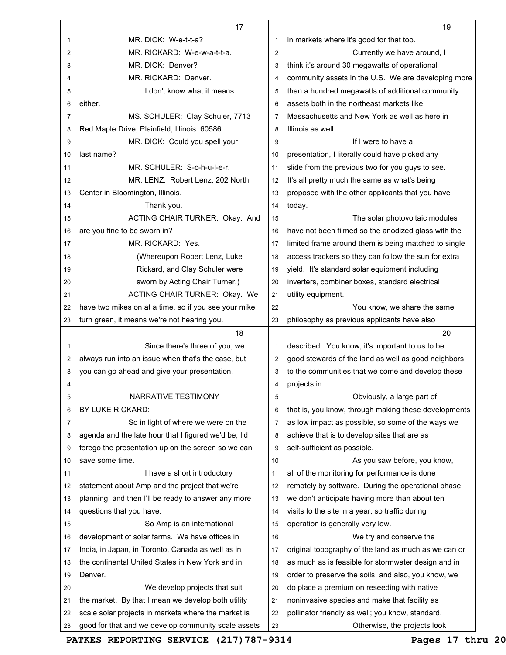|    | 17                                                   |                | 19                                                   |
|----|------------------------------------------------------|----------------|------------------------------------------------------|
| 1  | MR. DICK: W-e-t-t-a?                                 | 1              | in markets where it's good for that too.             |
| 2  | MR. RICKARD: W-e-w-a-t-t-a.                          | $\overline{2}$ | Currently we have around, I                          |
| 3  | MR. DICK: Denver?                                    | 3              | think it's around 30 megawatts of operational        |
| 4  | MR. RICKARD: Denver.                                 | 4              | community assets in the U.S. We are developing more  |
| 5  | I don't know what it means                           | 5              | than a hundred megawatts of additional community     |
| 6  | either.                                              | 6              | assets both in the northeast markets like            |
| 7  | MS. SCHULER: Clay Schuler, 7713                      | 7              | Massachusetts and New York as well as here in        |
| 8  | Red Maple Drive, Plainfield, Illinois 60586.         | 8              | Illinois as well.                                    |
| 9  | MR. DICK: Could you spell your                       | 9              | If I were to have a                                  |
| 10 | last name?                                           | 10             | presentation, I literally could have picked any      |
| 11 | MR. SCHULER: S-c-h-u-l-e-r.                          | 11             | slide from the previous two for you guys to see.     |
| 12 | MR. LENZ: Robert Lenz, 202 North                     | 12             | It's all pretty much the same as what's being        |
| 13 | Center in Bloomington, Illinois.                     | 13             | proposed with the other applicants that you have     |
| 14 | Thank you.                                           | 14             | today.                                               |
| 15 | ACTING CHAIR TURNER: Okay. And                       | 15             | The solar photovoltaic modules                       |
| 16 | are you fine to be sworn in?                         | 16             | have not been filmed so the anodized glass with the  |
| 17 | MR. RICKARD: Yes.                                    | 17             | limited frame around them is being matched to single |
| 18 | (Whereupon Robert Lenz, Luke                         | 18             | access trackers so they can follow the sun for extra |
| 19 | Rickard, and Clay Schuler were                       | 19             | yield. It's standard solar equipment including       |
| 20 | sworn by Acting Chair Turner.)                       | 20             | inverters, combiner boxes, standard electrical       |
| 21 | ACTING CHAIR TURNER: Okay. We                        | 21             | utility equipment.                                   |
| 22 | have two mikes on at a time, so if you see your mike | 22             | You know, we share the same                          |
| 23 | turn green, it means we're not hearing you.          | 23             | philosophy as previous applicants have also          |
|    | 18                                                   |                | 20                                                   |
| 1  | Since there's three of you, we                       | 1              | described. You know, it's important to us to be      |
| 2  | always run into an issue when that's the case, but   | 2              | good stewards of the land as well as good neighbors  |
| 3  | you can go ahead and give your presentation.         | 3              | to the communities that we come and develop these    |
| 4  |                                                      | 4              | projects in.                                         |
| 5  | NARRATIVE TESTIMONY                                  | 5              | Obviously, a large part of                           |
| 6  | BY LUKE RICKARD:                                     | 6              | that is, you know, through making these developments |
| 7  | So in light of where we were on the                  | 7              | as low impact as possible, so some of the ways we    |
| 8  | agenda and the late hour that I figured we'd be, I'd | 8              | achieve that is to develop sites that are as         |
| 9  | forego the presentation up on the screen so we can   | 9              | self-sufficient as possible.                         |
| 10 | save some time.                                      | 10             | As you saw before, you know,                         |
| 11 | I have a short introductory                          | 11             | all of the monitoring for performance is done        |
| 12 | statement about Amp and the project that we're       | 12             | remotely by software. During the operational phase,  |
| 13 | planning, and then I'll be ready to answer any more  | 13             | we don't anticipate having more than about ten       |
| 14 | questions that you have.                             | 14             | visits to the site in a year, so traffic during      |
| 15 | So Amp is an international                           | 15             | operation is generally very low.                     |
| 16 | development of solar farms. We have offices in       | 16             | We try and conserve the                              |
| 17 | India, in Japan, in Toronto, Canada as well as in    | 17             | original topography of the land as much as we can or |
| 18 | the continental United States in New York and in     | 18             | as much as is feasible for stormwater design and in  |
| 19 | Denver.                                              | 19             | order to preserve the soils, and also, you know, we  |
| 20 | We develop projects that suit                        | 20             | do place a premium on reseeding with native          |
| 21 | the market. By that I mean we develop both utility   | 21             | noninvasive species and make that facility as        |
| 22 | scale solar projects in markets where the market is  | 22             | pollinator friendly as well; you know, standard.     |
| 23 | good for that and we develop community scale assets  | 23             | Otherwise, the projects look                         |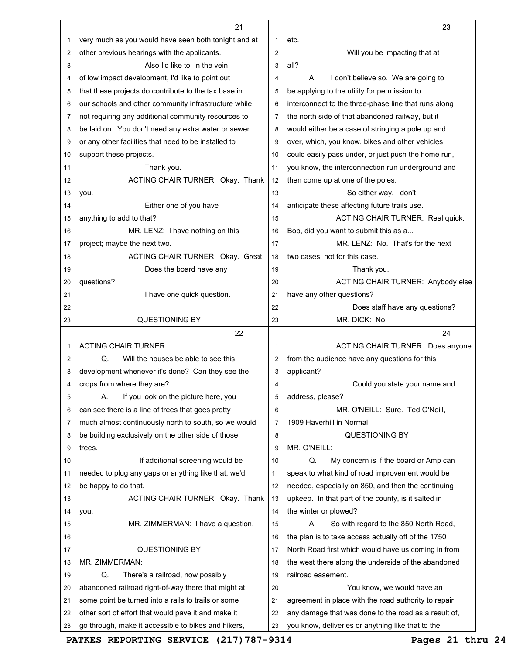|          | 21                                                                                                         |          | 23                                                                                                        |
|----------|------------------------------------------------------------------------------------------------------------|----------|-----------------------------------------------------------------------------------------------------------|
| 1        | very much as you would have seen both tonight and at                                                       | 1        | etc.                                                                                                      |
| 2        | other previous hearings with the applicants.                                                               | 2        | Will you be impacting that at                                                                             |
| 3        | Also I'd like to, in the vein                                                                              | 3        | all?                                                                                                      |
| 4        | of low impact development, I'd like to point out                                                           | 4        | I don't believe so. We are going to<br>А.                                                                 |
| 5        | that these projects do contribute to the tax base in                                                       | 5        | be applying to the utility for permission to                                                              |
| 6        | our schools and other community infrastructure while                                                       | 6        | interconnect to the three-phase line that runs along                                                      |
| 7        | not requiring any additional community resources to                                                        | 7        | the north side of that abandoned railway, but it                                                          |
| 8        | be laid on. You don't need any extra water or sewer                                                        | 8        | would either be a case of stringing a pole up and                                                         |
| 9        | or any other facilities that need to be installed to                                                       | 9        | over, which, you know, bikes and other vehicles                                                           |
| 10       | support these projects.                                                                                    | 10       | could easily pass under, or just push the home run,                                                       |
| 11       | Thank you.                                                                                                 | 11       | you know, the interconnection run underground and                                                         |
| 12       | ACTING CHAIR TURNER: Okay. Thank                                                                           | 12       | then come up at one of the poles.                                                                         |
| 13       | you.                                                                                                       | 13       | So either way, I don't                                                                                    |
| 14       | Either one of you have                                                                                     | 14       | anticipate these affecting future trails use.                                                             |
| 15       | anything to add to that?                                                                                   | 15       | ACTING CHAIR TURNER: Real quick.                                                                          |
| 16       | MR. LENZ: I have nothing on this                                                                           | 16       | Bob, did you want to submit this as a                                                                     |
| 17       | project; maybe the next two.                                                                               | 17       | MR. LENZ: No. That's for the next                                                                         |
| 18       | ACTING CHAIR TURNER: Okay. Great.                                                                          | 18       | two cases, not for this case.                                                                             |
| 19       | Does the board have any                                                                                    | 19       | Thank you.                                                                                                |
| 20       | questions?                                                                                                 | 20       | ACTING CHAIR TURNER: Anybody else                                                                         |
| 21       | I have one quick question.                                                                                 | 21       | have any other questions?                                                                                 |
| 22       |                                                                                                            | 22       | Does staff have any questions?                                                                            |
| 23       | <b>QUESTIONING BY</b>                                                                                      | 23       | MR. DICK: No.                                                                                             |
|          | 22                                                                                                         |          | 24                                                                                                        |
|          |                                                                                                            |          |                                                                                                           |
| 1        | <b>ACTING CHAIR TURNER:</b>                                                                                | 1        | <b>ACTING CHAIR TURNER: Does anyone</b>                                                                   |
| 2        | Q.<br>Will the houses be able to see this                                                                  | 2        | from the audience have any questions for this                                                             |
| 3        | development whenever it's done? Can they see the                                                           | 3        | applicant?                                                                                                |
| 4        | crops from where they are?                                                                                 | 4        | Could you state your name and                                                                             |
| 5        | If you look on the picture here, you<br>А.                                                                 | 5        | address, please?                                                                                          |
| 6        | can see there is a line of trees that goes pretty                                                          | 6        | MR. O'NEILL: Sure. Ted O'Neill,                                                                           |
| 7        | much almost continuously north to south, so we would                                                       | 7        | 1909 Haverhill in Normal.                                                                                 |
| 8        | be building exclusively on the other side of those                                                         | 8        | <b>QUESTIONING BY</b>                                                                                     |
| 9        | trees.                                                                                                     | 9        | MR. O'NEILL:                                                                                              |
| 10       | If additional screening would be                                                                           | 10       | Q.<br>My concern is if the board or Amp can                                                               |
| 11       | needed to plug any gaps or anything like that, we'd                                                        | 11       | speak to what kind of road improvement would be                                                           |
| 12       | be happy to do that.                                                                                       | 12       | needed, especially on 850, and then the continuing                                                        |
| 13       | ACTING CHAIR TURNER: Okay. Thank                                                                           | 13       | upkeep. In that part of the county, is it salted in                                                       |
| 14       | you.                                                                                                       | 14       | the winter or plowed?                                                                                     |
| 15       | MR. ZIMMERMAN: I have a question.                                                                          | 15       | So with regard to the 850 North Road,<br>А.                                                               |
| 16       |                                                                                                            | 16       | the plan is to take access actually off of the 1750                                                       |
| 17       | <b>QUESTIONING BY</b>                                                                                      | 17       | North Road first which would have us coming in from                                                       |
| 18       | MR. ZIMMERMAN:                                                                                             | 18       | the west there along the underside of the abandoned                                                       |
| 19       | Q.<br>There's a railroad, now possibly                                                                     | 19       | railroad easement.                                                                                        |
| 20       | abandoned railroad right-of-way there that might at                                                        | 20       | You know, we would have an                                                                                |
| 21       | some point be turned into a rails to trails or some                                                        | 21       | agreement in place with the road authority to repair                                                      |
| 22<br>23 | other sort of effort that would pave it and make it<br>go through, make it accessible to bikes and hikers, | 22<br>23 | any damage that was done to the road as a result of,<br>you know, deliveries or anything like that to the |

**PATKES REPORTING SERVICE (217)787-9314 Pages 21 thru 24**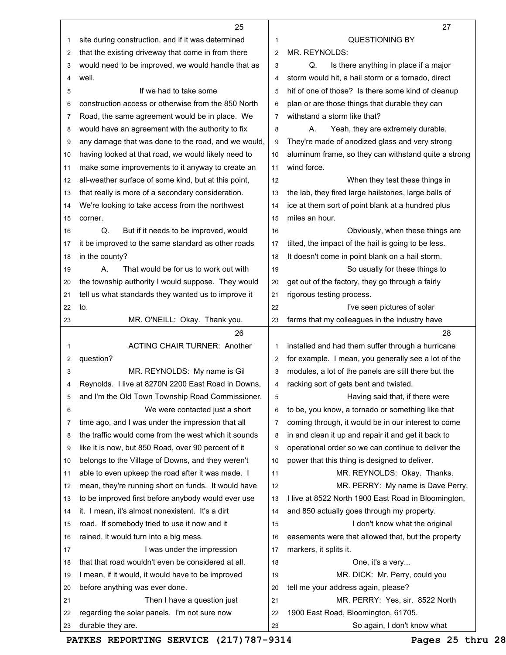|    | 25                                                   |                | 27                                                   |
|----|------------------------------------------------------|----------------|------------------------------------------------------|
| 1  | site during construction, and if it was determined   | 1              | <b>QUESTIONING BY</b>                                |
| 2  | that the existing driveway that come in from there   | $\overline{2}$ | MR. REYNOLDS:                                        |
| 3  | would need to be improved, we would handle that as   | 3              | Is there anything in place if a major<br>Q.          |
| 4  | well.                                                | 4              | storm would hit, a hail storm or a tornado, direct   |
| 5  | If we had to take some                               | 5              | hit of one of those? Is there some kind of cleanup   |
| 6  | construction access or otherwise from the 850 North  | 6              | plan or are those things that durable they can       |
| 7  | Road, the same agreement would be in place. We       | $\overline{7}$ | withstand a storm like that?                         |
| 8  | would have an agreement with the authority to fix    | 8              | А.<br>Yeah, they are extremely durable.              |
| 9  | any damage that was done to the road, and we would,  | 9              | They're made of anodized glass and very strong       |
| 10 | having looked at that road, we would likely need to  | 10             | aluminum frame, so they can withstand quite a strong |
| 11 | make some improvements to it anyway to create an     | 11             | wind force.                                          |
| 12 | all-weather surface of some kind, but at this point, | 12             | When they test these things in                       |
| 13 | that really is more of a secondary consideration.    | 13             | the lab, they fired large hailstones, large balls of |
| 14 | We're looking to take access from the northwest      | 14             | ice at them sort of point blank at a hundred plus    |
| 15 | corner.                                              | 15             | miles an hour.                                       |
| 16 | Q.<br>But if it needs to be improved, would          | 16             | Obviously, when these things are                     |
| 17 | it be improved to the same standard as other roads   | 17             | tilted, the impact of the hail is going to be less.  |
| 18 | in the county?                                       | 18             | It doesn't come in point blank on a hail storm.      |
| 19 | Α.<br>That would be for us to work out with          | 19             | So usually for these things to                       |
| 20 | the township authority I would suppose. They would   | 20             | get out of the factory, they go through a fairly     |
| 21 | tell us what standards they wanted us to improve it  | 21             | rigorous testing process.                            |
| 22 | to.                                                  | 22             | I've seen pictures of solar                          |
| 23 | MR. O'NEILL: Okay. Thank you.                        | 23             | farms that my colleagues in the industry have        |
|    | 26                                                   |                | 28                                                   |
| 1  | <b>ACTING CHAIR TURNER: Another</b>                  | 1              | installed and had them suffer through a hurricane    |
| 2  | question?                                            | $\overline{2}$ | for example. I mean, you generally see a lot of the  |
| 3  | MR. REYNOLDS: My name is Gil                         | 3              | modules, a lot of the panels are still there but the |
| 4  | Reynolds. I live at 8270N 2200 East Road in Downs,   | 4              | racking sort of gets bent and twisted.               |
| 5  | and I'm the Old Town Township Road Commissioner.     | 5              | Having said that, if there were                      |
| 6  | We were contacted just a short                       | 6              | to be, you know, a tornado or something like that    |
| 7  | time ago, and I was under the impression that all    | 7              | coming through, it would be in our interest to come  |
| 8  | the traffic would come from the west which it sounds | 8              | in and clean it up and repair it and get it back to  |
| 9  | like it is now, but 850 Road, over 90 percent of it  | 9              | operational order so we can continue to deliver the  |
| 10 | belongs to the Village of Downs, and they weren't    | 10             | power that this thing is designed to deliver.        |
| 11 | able to even upkeep the road after it was made. I    | 11             | MR. REYNOLDS: Okay. Thanks.                          |
| 12 | mean, they're running short on funds. It would have  | 12             | MR. PERRY: My name is Dave Perry,                    |
| 13 | to be improved first before anybody would ever use   | 13             | I live at 8522 North 1900 East Road in Bloomington,  |
| 14 | it. I mean, it's almost nonexistent. It's a dirt     | 14             | and 850 actually goes through my property.           |
| 15 | road. If somebody tried to use it now and it         | 15             | I don't know what the original                       |
| 16 | rained, it would turn into a big mess.               | 16             | easements were that allowed that, but the property   |
| 17 | I was under the impression                           | 17             | markers, it splits it.                               |
| 18 | that that road wouldn't even be considered at all.   | 18             | One, it's a very                                     |
| 19 | I mean, if it would, it would have to be improved    | 19             | MR. DICK: Mr. Perry, could you                       |
| 20 | before anything was ever done.                       | 20             | tell me your address again, please?                  |
| 21 | Then I have a question just                          | 21             | MR. PERRY: Yes, sir. 8522 North                      |
| 22 | regarding the solar panels. I'm not sure now         | 22             | 1900 East Road, Bloomington, 61705.                  |
| 23 | durable they are.                                    | 23             | So again, I don't know what                          |

PATKES REPORTING SERVICE (217) 787-9314 Pages 25 thru 28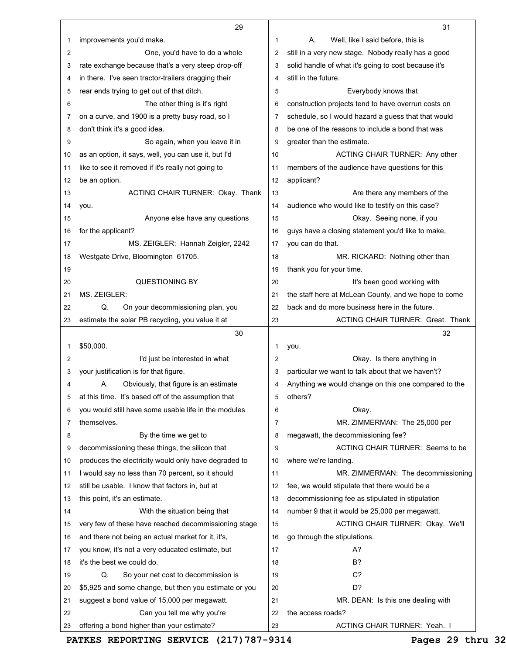|    | 29                                                                                                   |              | 31                                                                     |
|----|------------------------------------------------------------------------------------------------------|--------------|------------------------------------------------------------------------|
| 1  | improvements you'd make.                                                                             | $\mathbf{1}$ | А.<br>Well, like I said before, this is                                |
| 2  | One, you'd have to do a whole                                                                        | 2            | still in a very new stage. Nobody really has a good                    |
| 3  | rate exchange because that's a very steep drop-off                                                   | 3            | solid handle of what it's going to cost because it's                   |
| 4  | in there. I've seen tractor-trailers dragging their                                                  | 4            | still in the future.                                                   |
| 5  | rear ends trying to get out of that ditch.                                                           | 5            | Everybody knows that                                                   |
| 6  | The other thing is it's right                                                                        | 6            | construction projects tend to have overrun costs on                    |
| 7  | on a curve, and 1900 is a pretty busy road, so I                                                     | 7            | schedule, so I would hazard a guess that that would                    |
| 8  | don't think it's a good idea.                                                                        | 8            | be one of the reasons to include a bond that was                       |
| 9  | So again, when you leave it in                                                                       | 9            | greater than the estimate.                                             |
| 10 | as an option, it says, well, you can use it, but I'd                                                 | 10           | ACTING CHAIR TURNER: Any other                                         |
| 11 | like to see it removed if it's really not going to                                                   | 11           | members of the audience have questions for this                        |
| 12 | be an option.                                                                                        | 12           | applicant?                                                             |
| 13 | ACTING CHAIR TURNER: Okay. Thank                                                                     | 13           | Are there any members of the                                           |
| 14 | you.                                                                                                 | 14           | audience who would like to testify on this case?                       |
| 15 | Anyone else have any questions                                                                       | 15           | Okay. Seeing none, if you                                              |
| 16 | for the applicant?                                                                                   | 16           | guys have a closing statement you'd like to make,                      |
| 17 | MS. ZEIGLER: Hannah Zeigler, 2242                                                                    | 17           | you can do that.                                                       |
| 18 | Westgate Drive, Bloomington 61705.                                                                   | 18           | MR. RICKARD: Nothing other than                                        |
| 19 |                                                                                                      | 19           | thank you for your time.                                               |
| 20 | <b>QUESTIONING BY</b>                                                                                | 20           | It's been good working with                                            |
| 21 | MS. ZEIGLER:                                                                                         | 21           | the staff here at McLean County, and we hope to come                   |
| 22 | Q.<br>On your decommissioning plan, you                                                              | 22           | back and do more business here in the future.                          |
| 23 | estimate the solar PB recycling, you value it at                                                     | 23           | <b>ACTING CHAIR TURNER: Great. Thank</b>                               |
|    |                                                                                                      |              |                                                                        |
|    | 30                                                                                                   |              | 32                                                                     |
| 1  | \$50,000.                                                                                            | 1            | you.                                                                   |
| 2  | I'd just be interested in what                                                                       | 2            | Okay. Is there anything in                                             |
| 3  | your justification is for that figure.                                                               | 3            | particular we want to talk about that we haven't?                      |
| 4  | Obviously, that figure is an estimate<br>А.                                                          | 4            | Anything we would change on this one compared to the                   |
| 5  | at this time. It's based off of the assumption that                                                  | 5            | others?                                                                |
| 6  | you would still have some usable life in the modules                                                 | 6            |                                                                        |
| 7  | themselves.                                                                                          | 7            | Okay.                                                                  |
| 8  |                                                                                                      | 8            | MR. ZIMMERMAN: The 25,000 per                                          |
| 9  | By the time we get to                                                                                | 9            | megawatt, the decommissioning fee?<br>ACTING CHAIR TURNER: Seems to be |
| 10 | decommissioning these things, the silicon that                                                       | 10           |                                                                        |
| 11 | produces the electricity would only have degraded to                                                 | 11           | where we're landing.                                                   |
| 12 | I would say no less than 70 percent, so it should<br>still be usable. I know that factors in, but at | 12           | MR. ZIMMERMAN: The decommissioning                                     |
|    |                                                                                                      |              | fee, we would stipulate that there would be a                          |
| 13 | this point, it's an estimate.                                                                        | 13<br>14     | decommissioning fee as stipulated in stipulation                       |
| 14 | With the situation being that                                                                        |              | number 9 that it would be 25,000 per megawatt.                         |
| 15 | very few of these have reached decommissioning stage                                                 | 15<br>16     | ACTING CHAIR TURNER: Okay. We'll                                       |
| 16 | and there not being an actual market for it, it's,                                                   |              | go through the stipulations.                                           |
| 17 | you know, it's not a very educated estimate, but                                                     | 17           | А?                                                                     |
| 18 | it's the best we could do.                                                                           | 18           | B?                                                                     |
| 19 | Q.<br>So your net cost to decommission is                                                            | 19           | C?                                                                     |
| 20 | \$5,925 and some change, but then you estimate or you                                                | 20           | D?                                                                     |
| 21 | suggest a bond value of 15,000 per megawatt.                                                         | 21           | MR. DEAN: Is this one dealing with                                     |
|    |                                                                                                      |              |                                                                        |
| 22 | Can you tell me why you're<br>offering a bond higher than your estimate?                             | 22           | the access roads?<br>ACTING CHAIR TURNER: Yeah. I                      |

**PATKES REPORTING SERVICE (217)787-9314 Pages 29 thru 32**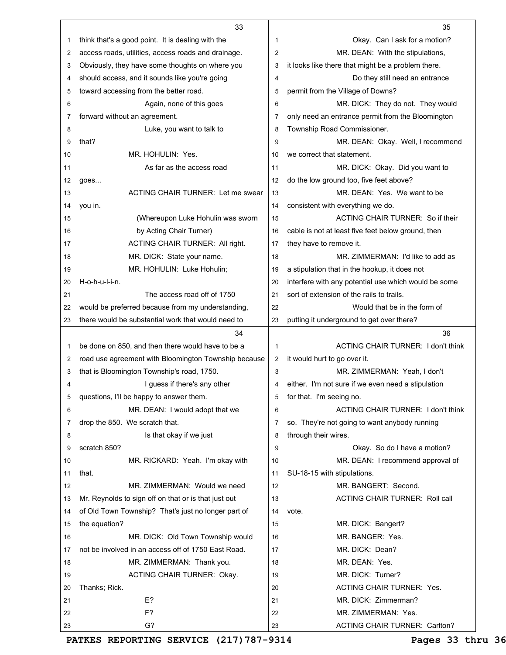|    | 33                                                   |                | 35                                                   |
|----|------------------------------------------------------|----------------|------------------------------------------------------|
| 1  | think that's a good point. It is dealing with the    | -1             | Okay. Can I ask for a motion?                        |
| 2  | access roads, utilities, access roads and drainage.  | $\overline{2}$ | MR. DEAN: With the stipulations,                     |
| 3  | Obviously, they have some thoughts on where you      | 3              | it looks like there that might be a problem there.   |
| 4  | should access, and it sounds like you're going       | 4              | Do they still need an entrance                       |
| 5  | toward accessing from the better road.               | 5              | permit from the Village of Downs?                    |
| 6  | Again, none of this goes                             | 6              | MR. DICK: They do not. They would                    |
| 7  | forward without an agreement.                        | 7              | only need an entrance permit from the Bloomington    |
| 8  | Luke, you want to talk to                            | 8              | Township Road Commissioner.                          |
| 9  | that?                                                | 9              | MR. DEAN: Okay. Well, I recommend                    |
| 10 | MR. HOHULIN: Yes.                                    | 10             | we correct that statement.                           |
| 11 | As far as the access road                            | 11             | MR. DICK: Okay. Did you want to                      |
| 12 | goes                                                 | 12             | do the low ground too, five feet above?              |
| 13 | <b>ACTING CHAIR TURNER: Let me swear</b>             | 13             | MR. DEAN: Yes. We want to be                         |
| 14 | you in.                                              | 14             | consistent with everything we do.                    |
| 15 | (Whereupon Luke Hohulin was sworn                    | 15             | ACTING CHAIR TURNER: So if their                     |
| 16 | by Acting Chair Turner)                              | 16             | cable is not at least five feet below ground, then   |
| 17 | ACTING CHAIR TURNER: All right.                      | 17             | they have to remove it.                              |
| 18 | MR. DICK: State your name.                           | 18             | MR. ZIMMERMAN: I'd like to add as                    |
| 19 | MR. HOHULIN: Luke Hohulin;                           | 19             | a stipulation that in the hookup, it does not        |
| 20 | H-o-h-u-l-i-n.                                       | 20             | interfere with any potential use which would be some |
| 21 | The access road off of 1750                          | 21             | sort of extension of the rails to trails.            |
| 22 | would be preferred because from my understanding,    | 22             | Would that be in the form of                         |
| 23 | there would be substantial work that would need to   | 23             | putting it underground to get over there?            |
|    | 34                                                   |                | 36                                                   |
| 1  | be done on 850, and then there would have to be a    | 1              | <b>ACTING CHAIR TURNER: I don't think</b>            |
| 2  | road use agreement with Bloomington Township because | 2              | it would hurt to go over it.                         |
| 3  | that is Bloomington Township's road, 1750.           |                |                                                      |
|    |                                                      | 3              | MR. ZIMMERMAN: Yeah, I don't                         |
| 4  | I guess if there's any other                         | 4              | either. I'm not sure if we even need a stipulation   |
| 5  | questions, I'll be happy to answer them.             | 5              | for that. I'm seeing no.                             |
| 6  | MR. DEAN: I would adopt that we                      | 6              | <b>ACTING CHAIR TURNER: I don't think</b>            |
| 7  | drop the 850. We scratch that.                       | 7              | so. They're not going to want anybody running        |
| 8  | Is that okay if we just                              | 8              | through their wires.                                 |
| 9  | scratch 850?                                         | 9              | Okay. So do I have a motion?                         |
| 10 | MR. RICKARD: Yeah. I'm okay with                     | 10             | MR. DEAN: I recommend approval of                    |
| 11 | that.                                                | 11             | SU-18-15 with stipulations.                          |
| 12 | MR. ZIMMERMAN: Would we need                         | 12             | MR. BANGERT: Second.                                 |
| 13 | Mr. Reynolds to sign off on that or is that just out | 13             | <b>ACTING CHAIR TURNER: Roll call</b>                |
| 14 | of Old Town Township? That's just no longer part of  | 14             | vote.                                                |
| 15 | the equation?                                        | 15             | MR. DICK: Bangert?                                   |
| 16 | MR. DICK: Old Town Township would                    | 16             | MR. BANGER: Yes.                                     |
| 17 | not be involved in an access off of 1750 East Road.  | 17             | MR. DICK: Dean?                                      |
| 18 | MR. ZIMMERMAN: Thank you.                            | 18             | MR. DEAN: Yes.                                       |
| 19 | ACTING CHAIR TURNER: Okay.                           | 19             | MR. DICK: Turner?                                    |
| 20 | Thanks; Rick.                                        | 20             | <b>ACTING CHAIR TURNER: Yes.</b>                     |
| 21 | E?                                                   | 21             | MR. DICK: Zimmerman?                                 |
| 22 | F?                                                   | 22             | MR. ZIMMERMAN: Yes.                                  |

**PATKES REPORTING SERVICE (217)787-9314 Pages 33 thru 36**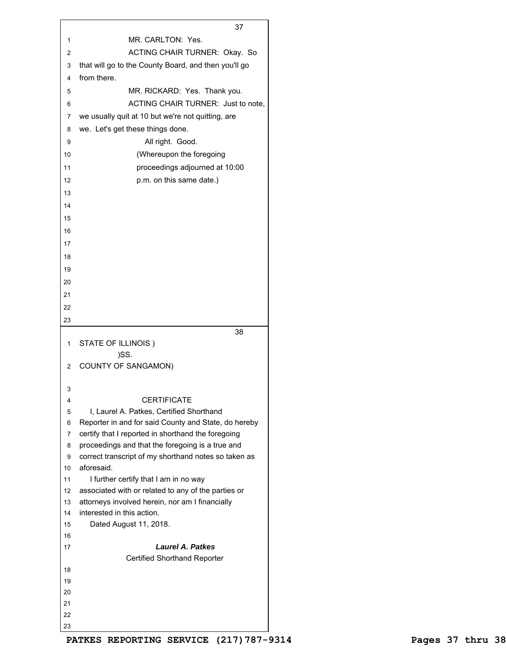|                | 37                                                                                                     |
|----------------|--------------------------------------------------------------------------------------------------------|
| 1              | MR. CARLTON: Yes.                                                                                      |
| 2              | <b>ACTING CHAIR TURNER: Okay. So</b>                                                                   |
| 3              | that will go to the County Board, and then you'll go                                                   |
| 4              | from there.                                                                                            |
| 5              | MR. RICKARD: Yes. Thank you.                                                                           |
| 6              | ACTING CHAIR TURNER: Just to note,                                                                     |
| 7              | we usually quit at 10 but we're not quitting, are                                                      |
| 8              | we. Let's get these things done.                                                                       |
|                |                                                                                                        |
| 9              | All right. Good.                                                                                       |
| 10             | (Whereupon the foregoing                                                                               |
| 11             | proceedings adjourned at 10:00                                                                         |
| 12             | p.m. on this same date.)                                                                               |
| 13             |                                                                                                        |
| 14             |                                                                                                        |
| 15             |                                                                                                        |
| 16             |                                                                                                        |
| 17             |                                                                                                        |
| 18             |                                                                                                        |
| 19             |                                                                                                        |
| 20             |                                                                                                        |
| 21             |                                                                                                        |
| 22             |                                                                                                        |
|                |                                                                                                        |
| 23             |                                                                                                        |
| 1              | 38<br>STATE OF ILLINOIS)                                                                               |
|                | )SS.                                                                                                   |
| $\overline{c}$ | <b>COUNTY OF SANGAMON)</b>                                                                             |
|                |                                                                                                        |
| 3              |                                                                                                        |
| 4              | CERTIFICATE                                                                                            |
| 5              | I, Laurel A. Patkes, Certified Shorthand                                                               |
| 6              | Reporter in and for said County and State, do hereby                                                   |
| 7              | certify that I reported in shorthand the foregoing                                                     |
| 8              | proceedings and that the foregoing is a true and                                                       |
| 9              | correct transcript of my shorthand notes so taken as                                                   |
| 10             | aforesaid.                                                                                             |
| 11             | I further certify that I am in no way                                                                  |
| 12             | associated with or related to any of the parties or<br>attorneys involved herein, nor am I financially |
| 13<br>14       | interested in this action.                                                                             |
| 15             | Dated August 11, 2018.                                                                                 |
| 16             |                                                                                                        |
| 17             | Laurel A. Patkes                                                                                       |
|                | <b>Certified Shorthand Reporter</b>                                                                    |
|                |                                                                                                        |
| 18             |                                                                                                        |
| 19             |                                                                                                        |
| 20             |                                                                                                        |
| 21             |                                                                                                        |
| 22             |                                                                                                        |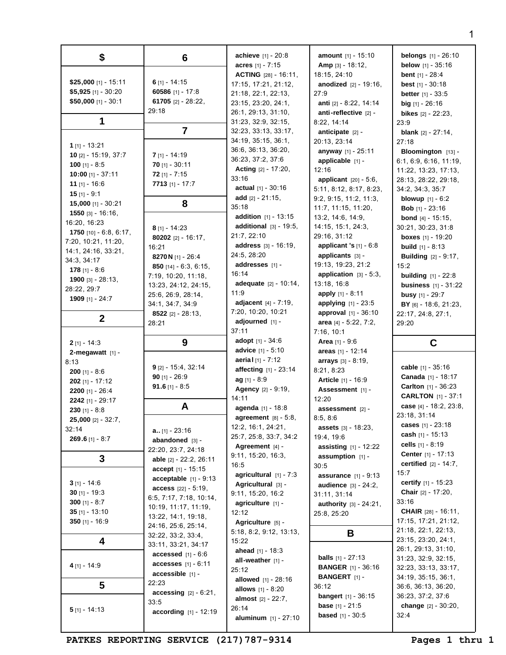| \$                                   | 6                               | <b>achieve</b> $[1] - 20:8$                            | <b>amount</b> $[1] - 15:10$                     | <b>belongs</b> [1] - 26:10                             |
|--------------------------------------|---------------------------------|--------------------------------------------------------|-------------------------------------------------|--------------------------------------------------------|
|                                      |                                 | acres $[1] - 7:15$                                     | <b>Amp</b> $[3] - 18:12$ ,                      | <b>below</b> $[1] - 35:16$                             |
| \$25,000 [1] - 15:11                 | 6 $[1] - 14:15$                 | <b>ACTING</b> $[28] - 16:11$ ,<br>17:15, 17:21, 21:12, | 18:15, 24:10<br><b>anodized</b> $[2] - 19:16$ , | <b>bent</b> $[1] - 28:4$                               |
| $$5,925$ [1] - 30:20                 | 60586 [1] - 17:8                | 21:18, 22:1, 22:13,                                    | 27:9                                            | <b>best</b> $[1] - 30:18$                              |
| $$50,000$ [1] - 30:1                 | 61705 [2] - 28:22,              | 23:15, 23:20, 24:1,                                    | anti [2] - 8:22, 14:14                          | <b>better</b> $[1] - 33:5$<br><b>big</b> $[1]$ - 26:16 |
|                                      | 29:18                           | 26:1, 29:13, 31:10,                                    | anti-reflective [2] -                           | <b>bikes</b> $[2] - 22:23$ ,                           |
| 1                                    |                                 | 31:23, 32:9, 32:15,                                    | 8:22, 14:14                                     | 23:9                                                   |
|                                      | $\overline{7}$                  | 32:23, 33:13, 33:17,                                   | anticipate $[2]$ -                              | <b>blank</b> $[2] - 27:14$ ,                           |
|                                      |                                 | 34:19, 35:15, 36:1,                                    | 20:13, 23:14                                    | 27:18                                                  |
| 1 [1] - 13:21                        |                                 | 36:6, 36:13, 36:20,                                    | anyway [1] - 25:11                              | Bloomington [13] -                                     |
| $10$ [2] - $15:19$ , $37:7$          | $7$ [1] - 14:19                 | 36:23, 37:2, 37:6                                      | applicable [1] -                                | 6:1, 6:9, 6:16, 11:19                                  |
| 100 [1] $- 8:5$                      | $70$ [1] - 30:11                | <b>Acting</b> $[2] - 17:20$ ,                          | 12:16                                           | 11:22, 13:23, 17:13,                                   |
| 10:00 [1] - 37:11                    | $72$ [1] - 7:15                 | 33:16                                                  | <b>applicant</b> $[20] - 5:6$ ,                 | 28:13, 28:22, 29:18,                                   |
| 11 $[1] - 16:6$                      | 7713 [1] - 17:7                 | <b>actual</b> $[1] - 30:16$                            | 5:11, 8:12, 8:17, 8:23,                         | 34:2, 34:3, 35:7                                       |
| $15$ [1] - 9:1                       |                                 | add $[2] - 21:15$ ,                                    | 9:2, 9:15, 11:2, 11:3,                          | <b>blowup</b> $[1] - 6:2$                              |
| $15,000$ [1] - 30:21                 | 8                               | 35:18                                                  | 11:7, 11:15, 11:20,                             | <b>Bob</b> $[1] - 23:16$                               |
| 1550 [3] - 16:16,<br>16:20, 16:23    |                                 | addition [1] - 13:15                                   | 13:2, 14:6, 14:9,                               | <b>bond</b> $[4] - 15:15$ ,                            |
| 1750 $[10] - 6:8, 6:17,$             | $8$ [1] - 14:23                 | additional $[3] - 19:5$ ,                              | 14:15, 15:1, 24:3,                              | 30:21, 30:23, 31:8                                     |
| 7:20, 10:21, 11:20,                  | 80202 [2] - 16:17,              | 21:7, 22:10                                            | 29:16, 31:12                                    | <b>boxes</b> $[1] - 19:20$                             |
| 14:1, 24:16, 33:21,                  | 16:21                           | address [3] - 16:19,                                   | <b>applicant 's</b> $[1] - 6:8$                 | <b>build</b> $[1] - 8:13$                              |
| 34:3, 34:17                          | 8270 N [1] - 26:4               | 24:5, 28:20                                            | applicants [3] -                                | <b>Building</b> [2] - 9:17,                            |
| 178 $[1] - 8:6$                      | 850 [14] - $6:3, 6:15$ ,        | addresses [1] -                                        | 19:13, 19:23, 21:2                              | 15:2                                                   |
| 1900 [3] $-28:13$ ,                  | 7:19, 10:20, 11:18,             | 16:14                                                  | application $[3] - 5:3$ ,                       | <b>building</b> $[1] - 22:8$                           |
| 28:22, 29:7                          | 13:23, 24:12, 24:15,            | <b>adequate</b> $[2] - 10:14$ ,                        | 13:18, 16:8                                     | <b>business</b> [1] - 31:22                            |
| <b>1909</b> [1] - 24:7               | 25:6, 26:9, 28:14,              | 11:9                                                   | apply [1] - 8:11                                | <b>busy</b> $[1] - 29:7$                               |
|                                      | 34:1, 34:7, 34:9                | adjacent $[4] - 7:19$ ,                                | applying $[1] - 23:5$                           | BY [6] - 18:6, 21:23,                                  |
| $\mathbf{2}$                         | 8522 [2] - $28:13$ ,            | 7:20, 10:20, 10:21                                     | approval [1] - 36:10                            | 22:17, 24:8, 27:1,                                     |
|                                      | 28:21                           | adjourned [1] -<br>37:11                               | area [4] - 5:22, 7:2,                           | 29:20                                                  |
|                                      |                                 | adopt $[1] - 34:6$                                     | 7:16, 10:1                                      |                                                        |
| $2$ [1] - 14:3                       | 9                               | advice [1] - 5:10                                      | <b>Area</b> $[1] - 9:6$<br>areas $[1] - 12:14$  | C                                                      |
| 2-megawatt $[1]$ -                   |                                 | <b>aerial</b> [1] - 7:12                               | arrays [3] - 8:19,                              |                                                        |
| 8:13<br>$200$ [1] - 8:6              | $9$ [2] - 15:4, 32:14           | affecting [1] - 23:14                                  | 8:21, 8:23                                      | cable [1] - 35:16                                      |
| <b>202</b> [1] - 17:12               | $90$ [1] - 26:9                 | $ag$ [1] - 8:9                                         | <b>Article</b> [1] - 16:9                       | <b>Canada</b> [1] - 18:17                              |
| 2200 [1] - 26:4                      | <b>91.6</b> [1] - 8:5           | <b>Agency</b> [2] - 9:19,                              | Assessment [1] -                                | <b>Carlton</b> $[1] - 36:23$                           |
| 2242 [1] - 29:17                     |                                 | 14:11                                                  | 12:20                                           | <b>CARLTON</b> [1] - 37:1                              |
| $230$ [1] - 8:8                      | A                               | agenda [1] - 18:8                                      | assessment [2] -                                | case [4] - 18:2, 23:8,                                 |
| <b>25,000</b> [2] - 32:7,            |                                 | agreement $[8] - 5:8$ ,                                | 8:5, 8:6                                        | 23:18, 31:14                                           |
| 32:14                                | $a_{1.}[1] - 23:16$             | 12:2, 16:1, 24:21,                                     | <b>assets</b> $[3] - 18:23$ ,                   | cases [1] - 23:18                                      |
| 269.6 $[1] - 8:7$                    | abandoned [3] -                 | 25:7, 25:8, 33:7, 34:2                                 | 19:4, 19:6                                      | cash $[1] - 15:13$                                     |
|                                      | 22:20, 23:7, 24:18              | Agreement $[4]$ -                                      | <b>assisting</b> $[1] - 12:22$                  | cells $[1] - 8:19$                                     |
| 3                                    | able [2] - 22:2, 26:11          | 9:11, 15:20, 16:3,                                     | assumption $[1]$ -                              | <b>Center</b> $[1] - 17:13$                            |
|                                      | accept [1] - 15:15              | 16:5                                                   | 30:5                                            | certified $[2] - 14:7$ .                               |
|                                      | acceptable $[1]$ - 9:13         | agricultural $[1] - 7:3$                               | <b>assurance</b> $[1] - 9:13$                   | 15:7                                                   |
| $3$ [1] - 14:6                       | <b>access</b> $[22] - 5:19$ ,   | Agricultural $[3]$ -                                   | <b>audience</b> [3] - 24:2,                     | certify $[1] - 15:23$                                  |
| $30$ [1] - 19:3                      | 6:5, 7:17, 7:18, 10:14,         | 9:11, 15:20, 16:2                                      | 31:11, 31:14                                    | <b>Chair</b> $[2] - 17:20$ ,                           |
| 300 [1] - 8:7                        | 10:19, 11:17, 11:19,            | agriculture $[1]$ -                                    | <b>authority</b> $[3] - 24:21$ ,                | 33:16                                                  |
| $35$ [1] - 13:10<br>350 $[1] - 16:9$ | 13:22, 14:1, 19:18,             | 12:12                                                  | 25:8, 25:20                                     | <b>CHAIR</b> $[28] - 16:11$ ,<br>17:15, 17:21, 21:12,  |
|                                      | 24:16, 25:6, 25:14,             | Agriculture [5] -                                      |                                                 | 21:18, 22:1, 22:13,                                    |
|                                      | 32:22, 33:2, 33:4,              | 5:18, 8:2, 9:12, 13:13,                                | В                                               | 23:15, 23:20, 24:1,                                    |
| 4                                    | 33:11, 33:21, 34:17             | 15:22<br><b>ahead</b> $[1] - 18:3$                     |                                                 | 26:1, 29:13, 31:10,                                    |
|                                      | accessed $[1] - 6:6$            | all-weather $[1]$ -                                    | <b>balls</b> $[1] - 27:13$                      | 31:23, 32:9, 32:15,                                    |
| 4 [1] - 14:9                         | <b>accesses</b> $[1] - 6:11$    | 25:12                                                  | <b>BANGER</b> [1] - 36:16                       | 32:23, 33:13, 33:17,                                   |
|                                      | $accessible$ [1] -              | <b>allowed</b> $[1] - 28:16$                           | <b>BANGERT</b> [1] -                            | 34:19, 35:15, 36:1,                                    |
| 5                                    | 22:23                           | <b>allows</b> $[1] - 8:20$                             | 36:12                                           | 36:6, 36:13, 36:20,                                    |
|                                      | <b>accessing</b> $[2] - 6:21$ , | <b>almost</b> $[2] - 22:7$ ,                           | <b>bangert</b> $[1] - 36:15$                    | 36:23, 37:2, 37:6                                      |
| $5$ [1] - 14:13                      | 33:5                            | 26:14                                                  | <b>base</b> $[1] - 21:5$                        | change $[2] - 30:20$ ,                                 |
|                                      | <b>according</b> $[1] - 12:19$  | aluminum [1] - 27:10                                   | <b>based</b> $[1] - 30:5$                       | 32:4                                                   |
|                                      |                                 |                                                        |                                                 |                                                        |

PATKES REPORTING SERVICE (217) 787-9314 Pages 1 thru 1

1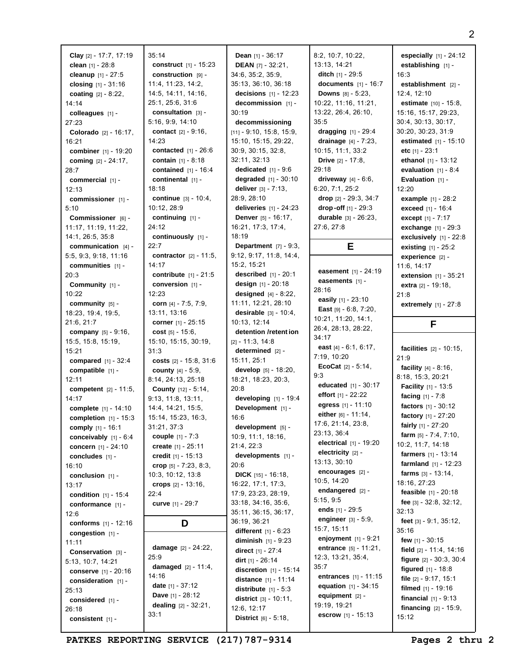| Clay [2] - 17:7, 17:19          | 35:14            |
|---------------------------------|------------------|
| clean [1] - 28:8                | con:             |
| cleanup [1] - 27:5              | con:             |
| closing [1] - 31:16             | 11:4.            |
| coating [2] - 8:22,             | 14:5.            |
| 14:14                           | 25:1.            |
| colleagues [1] -                | con:             |
| 27:23                           | 5:16             |
| <b>Colorado</b> $[2] - 16:17$   | cont             |
| 16:21                           | 14:23            |
| combiner [1] - 19:20            | con              |
| coming [2] - 24:17,             | con              |
| 28:7                            | con              |
| commercial $[1]$ -              | con              |
| 12:13                           | 18:18            |
| commissioner [1] -              | cont             |
| 5:10                            | 10:12            |
| Commissioner [6] -              | cont             |
| 11:17, 11:19, 11:22,            | 24:12            |
| 14:1, 26:5, 35:8                | cont             |
| communication $[4]$ -           | 22:7             |
| 5:5, 9:3, 9:18, 11:16           | cont             |
| communities [1] -               | 14:17            |
| 20:3                            | cont             |
| Community [1] -                 | con <sup>®</sup> |
| 10:22                           | 12:23            |
| community [5] -                 | corr             |
| 18:23, 19:4, 19:5,              | 13:11            |
| 21:6, 21:7                      | corr             |
| company [5] - 9:16,             | COS              |
| 15:5, 15:8, 15:19,              | 15:10            |
| 15:21                           | 31:3             |
| <b>compared</b> $[1] - 32:4$    | <b>COS</b>       |
| compatible [1] -<br>12:11       | cou<br>8:14,     |
| <b>competent</b> $[2] - 11:5$ , | Cou              |
| 14:17                           | 9:13,            |
| complete [1] - 14:10            | 14:4,            |
| completion $[1] - 15:3$         | 15:14            |
| comply [1] - 16:1               | 31:21            |
| conceivably [1] - 6:4           | cou              |
| concern [1] - 24:10             | crea             |
| concludes [1] -                 | crec             |
| 16:10                           | crop             |
| conclusion $[1]$ -              | 10:3,            |
| 13:17                           | crop             |
| condition [1] - 15:4            | 22:4             |
| conformance [1] -               | <b>curv</b>      |
| 12:6                            |                  |
| conforms $[1] - 12:16$          |                  |
| congestion [1] -                |                  |
| 11:11                           |                  |
| Conservation [3] -              | dam              |
| 5:13, 10:7, 14:21               | 25:9             |
| <b>conserve</b> [1] - 20:16     | dam<br>14:16     |
| consideration [1] -             | date             |
| 25:13                           | Dav              |
| considered [1] -                | deal             |
| 26:18                           | 33:1             |
| consistent [1] -                |                  |

**construct** [1] - 15:23 **construction** [9] - 11:4, 11:23, 14:2, 14:11, 14:16, 25:6, 31:6 **consultation** [3] - 9:9, 14:10 **contact** [2] - 9:16, **contacted** [1] - 26:6 **contain** [1] - 8:18 **contained** [1] - 16:4 **continental** [1] - 18:18 **continue** [3] - 10:4, 2. 28:9 **continuing** [1] **continuously** [1] **contractor** [2] - 11:5, **contribute** [1] - 21:5 **conversion** [1] **corn** [4] - 7:5, 7:9,  $1, 13:16$ **corner** [1] - 25:15 **cost** [5] - 15:6, 15:10, 15:15, 30:19, **costs** [2] - 15:8, 31:6 **county** [4] - 5:9, 8:14, 24:13, 25:18 **County** [12] - 5:14, 9:13, 11:8, 13:11, 14:4, 14:21, 15:5, 15:14, 15:23, 16:3, 31:21, 37:3 **couple** [1] - 7:3 **create** [1] - 25:11 **credit** [1] - 15:13 **crop** [5] - 7:23, 8:3, 10:12, 13:8 **crops** [2] - 13:16, **curve** [1] - 29:7 **D damage** [2] - 24:22, **damaged** [2] - 11:4, **date** [1] - 37:12 **Dave** [1] - 28:12 **dealing** [2] - 32:21,

**Dean** [1] - 36:17 **DEAN** [7] - 32:21, 34:6, 35:2, 35:9, 35:13, 36:10, 36:18 **decisions** [1] - 12:23 **decommission** [1] - 30:19 **decommissioning** [11] - 9:10, 15:8, 15:9, 15:10, 15:15, 29:22, 30:9, 30:15, 32:8, 32:11, 32:13 **dedicated** [1] - 9:6 **degraded** [1] - 30:10 **deliver** [3] - 7:13, 28:9, 28:10 **deliveries** [1] - 24:23 **Denver** [5] - 16:17, 16:21, 17:3, 17:4, 18:19 **Department** [7] - 9:3, 9:12, 9:17, 11:8, 14:4, 15:2, 15:21 **described** [1] - 20:1 **design** [1] - 20:18 **designed** [4] - 8:22, 11:11, 12:21, 28:10 **desirable** [3] - 10:4, 10:13, 12:14 **detention /retent ion** [2] - 11:3, 14:8 **determined** [2] - 15:11, 25:1 **develop** [5] - 18:20, 18:21, 18:23, 20:3, 20:8 **developing** [1] - 19:4 **Development** [1] - 16:6 **development** [5] - 10:9, 11:1, 18:16, 21:4, 22:3 **developments** [1] - 20:6 **DICK** [15] - 16:18, 16:22, 17:1, 17:3, 17:9, 23:23, 28:19, 33:18, 34:16, 35:6, 35:11, 36:15, 36:17, 36:19, 36:21 **different** [1] - 6:23 **diminish** [1] - 9:23 **direct** [1] - 27:4 **dirt** [1] - 26:14 **discretion** [1] - 15:14 **distance** [1] - 11:14 **distribute** [1] - 5:3 **district** [3] - 10:11, 12:6, 12:17 **District** [6] - 5:18,

8:2, 10:7, 10:22, 13:13, 14:21 **ditch** [1] - 29:5 **documents** [1] - 16:7 **Downs** [8] - 5:23, 10:22, 11:16, 11:21, 13:22, 26:4, 26:10, 35:5 **dragging** [1] - 29:4 **drainage** [4] - 7:23, 10:15, 11:1, 33:2 **Drive** [2] - 17:8, 29:18 **driveway** [4] - 6:6, 6:20, 7:1, 25:2 **drop** [2] - 29:3, 34:7 **drop -off** [1] - 29:3 **durable** [3] - 26:23, 27:6, 27:8

## **E**

**easement** [1] - 24:19 **easements** [1] - 28:16 **easily** [1] - 23:10 **East** [9] - 6:8, 7:20, 10:21, 11:20, 14:1, 26:4, 28:13, 28:22, 34:17 **east** [4] - 6:1, 6:17, 7:19, 10:20 **EcoCat** [2] - 5:14, 9:3 **educated** [1] - 30:17 **effort** [1] - 22:22 **egress** [1] - 11:10 **either** [6] - 11:14, 17:6, 21:14, 23:8, 23:13, 36:4 **electrical** [1] - 19:20 **electricity** [2] - 13:13, 30:10 **encourages** [2] - 10:5, 14:20 **endangered** [2] - 5:15, 9:5 **ends** [1] - 29:5 **engineer** [3] - 5:9, 15:7, 15:11 **enjoyment** [1] - 9:21 **entrance** [5] - 11:21, 12:3, 13:21, 35:4, 35:7 **entrances** [1] - 11:15 **equation** [1] - 34:15 **equipment** [2] - 19:19, 19:21 **escrow** [1] - 15:13

**especially** [1] - 24:12 **establishing** [1] - 16:3 **establishment** [2] - 12:4, 12:10 **estimate** [10] - 15:8, 15:16, 15:17, 29:23, 30:4, 30:13, 30:17, 30:20, 30:23, 31:9 **estimated** [1] - 15:10 **etc** [1] - 23:1 **ethanol** [1] - 13:12 **evaluation** [1] - 8:4 **Evaluation** [1] -12:20 **example** [1] - 28:2 **exceed** [1] - 16:4 **except** [1] - 7:17 **exchange** [1] - 29:3 **exclusively** [1] - 22:8 **existing** [1] - 25:2 **experience** [2] - 11:6, 14:17 **extension** [1] - 35:21 **extra** [2] - 19:18, 21:8 **extremely** [1] - 27:8

**F**

**facilities** [2] - 10:15, 21:9 **facility** [4] - 8:16, 8:18, 15:3, 20:21 **Facility** [1] - 13:5 **facing** [1] - 7:8 **factors** [1] - 30:12 **factory** [1] - 27:20 **fairly** [1] - 27:20 **farm** [5] - 7:4, 7:10, 10:2, 11:7, 14:18 **farmers** [1] - 13:14 **farmland** [1] - 12:23 **farms** [3] - 13:14, 18:16, 27:23 **feasible** [1] - 20:18 **fee** [3] - 32:8, 32:12, 32:13 **feet** [3] - 9:1, 35:12, 35:16 **few** [1] - 30:15 **field** [2] - 11:4, 14:16 **figure** [2] - 30:3, 30:4 **figured** [1] - 18:8 **file** [2] - 9:17, 15:1 **filmed** [1] - 19:16 **financial** [1] - 9:13 **financing** [2] - 15:9, 15:12

PATKES REPORTING SERVICE (217) 787-9314 Pages 2 thru 2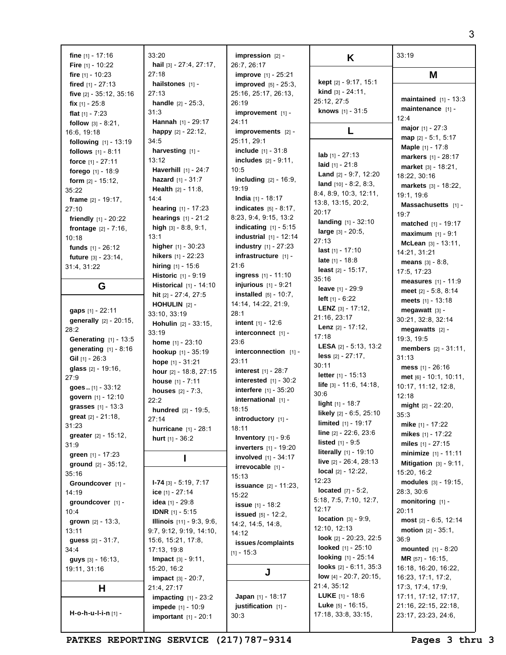| fine $[1] - 17:16$                        | 33:20                                         | $impression$ [2] -                                           | K                                        | 33:19                                    |
|-------------------------------------------|-----------------------------------------------|--------------------------------------------------------------|------------------------------------------|------------------------------------------|
| Fire $[1] - 10:22$                        | hail [3] - 27:4, 27:17,<br>27:18              | 26:7, 26:17                                                  |                                          |                                          |
| fire $[1] - 10:23$<br>fired $[1] - 27:13$ | hailstones $[1]$ -                            | <b>improve</b> [1] - 25:21<br><b>improved</b> $[5] - 25:3$ , | <b>kept</b> $[2] - 9:17, 15:1$           | M                                        |
| five [2] - 35:12, 35:16                   | 27:13                                         | 25:16, 25:17, 26:13,                                         | <b>kind</b> $[3] - 24:11$ ,              |                                          |
| fix $[1] - 25:8$                          | <b>handle</b> $[2] - 25:3$ ,                  | 26:19                                                        | 25:12, 27:5                              | maintained $[1] - 13:3$                  |
| flat $[1] - 7:23$                         | 31:3                                          | $improvement$ [1] -                                          | knows [1] - 31:5                         | maintenance $[1]$ -                      |
| follow $[3] - 8:21$ ,                     | Hannah [1] - 29:17                            | 24:11                                                        |                                          | 12:4                                     |
| 16:6, 19:18                               | happy $[2] - 22:12$ ,                         | $improvements$ [2] -                                         | L                                        | <b>major</b> $[1] - 27:3$                |
| following [1] - 13:19                     | 34:5                                          | 25:11, 29:1                                                  |                                          | $map$ [2] - 5:1, 5:17                    |
| follows $[1] - 8:11$                      | harvesting [1] -                              | <b>include</b> $[1] - 31:8$                                  |                                          | Maple [1] - 17:8                         |
| force $[1] - 27:11$                       | 13:12                                         | <b>includes</b> $[2] - 9:11$ ,                               | lab $[1] - 27:13$                        | markers [1] - 28:17                      |
| forego [1] - 18:9                         | Haverhill [1] - 24:7                          | 10:5                                                         | laid $[1] - 21:8$                        | market $[3] - 18:21$ ,                   |
| form $[2] - 15:12$ ,                      | <b>hazard</b> $[1] - 31:7$                    | <b>including</b> $[2] - 16:9$ ,                              | Land [2] - 9:7, 12:20                    | 18:22, 30:16                             |
| 35:22                                     | <b>Health</b> $[2] - 11:8$                    | 19:19                                                        | land $[10] - 8:2, 8:3,$                  | markets $[3] - 18:22$ ,                  |
| <b>frame</b> $[2] - 19:17$ ,              | 14:4                                          | <b>India</b> $[1]$ - 18:17                                   | 8:4, 8:9, 10:3, 12:11,                   | 19:1, 19:6                               |
| 27:10                                     | hearing [1] - 17:23                           | <b>indicates</b> $[5] - 8:17$ ,                              | 13:8, 13:15, 20:2,                       | Massachusetts [1] -                      |
| friendly $[1] - 20:22$                    | <b>hearings</b> $[1] - 21:2$                  | 8:23, 9:4, 9:15, 13:2                                        | 20:17                                    | 19:7                                     |
| <b>frontage</b> $[2] - 7:16$ ,            | high $[3] - 8.8, 9.1,$                        | indicating $[1] - 5:15$                                      | landing [1] - 32:10                      | <b>matched</b> $[1] - 19:17$             |
| 10:18                                     | 13:1                                          | <b>industrial</b> $[1] - 12:14$                              | large [3] - 20:5,                        | <b>maximum</b> $[1] - 9:1$               |
| funds [1] - 26:12                         | higher [1] - 30:23                            | <b>industry</b> $[1] - 27:23$                                | 27:13                                    | McLean [3] - 13:11,                      |
| <b>future</b> $[3] - 23:14$ ,             | <b>hikers</b> $[1] - 22:23$                   | infrastructure [1] -                                         | <b>last</b> $[1] - 17:10$                | 14:21, 31:21                             |
| 31:4, 31:22                               | hiring $[1] - 15:6$                           | 21:6                                                         | <b>late</b> $[1] - 18:8$                 | <b>means</b> $[3] - 8:8$                 |
|                                           | Historic [1] - 9:19                           | <b>ingress</b> $[1] - 11:10$                                 | <b>least</b> $[2] - 15:17$ ,             | 17:5, 17:23                              |
| G                                         | <b>Historical</b> $[1] - 14:10$               | <b>injurious</b> $[1] - 9:21$                                | 35:16                                    | measures $[1] - 11:9$                    |
|                                           | hit [2] - 27:4, 27:5                          | <b>installed</b> $[5] - 10:7$ ,                              | leave [1] - 29:9                         | meet $[2] - 5:8, 8:14$                   |
|                                           | <b>HOHULIN</b> $[2]$ -                        | 14:14, 14:22, 21:9,                                          | <b>left</b> $[1] - 6:22$                 | meets $[1] - 13:18$                      |
| gaps [1] - 22:11                          | 33:10, 33:19                                  | 28:1                                                         | <b>LENZ</b> $[3] - 17:12$                | megawatt [3] -                           |
| generally [2] - 20:15,                    | <b>Hohulin</b> $[2] - 33:15$ ,                | <b>intent</b> $[1] - 12:6$                                   | 21:16, 23:17                             | 30:21, 32:8, 32:14                       |
| 28:2                                      | 33:19                                         | interconnect [1] -                                           | <b>Lenz</b> $[2] - 17:12$ ,              | megawatts $[2]$ -                        |
| <b>Generating</b> [1] - 13:5              | home $[1] - 23:10$                            | 23:6                                                         | 17:18                                    | 19:3, 19:5                               |
| generating $[1] - 8:16$                   | hookup [1] - 35:19                            | interconnection $[1]$ -                                      | <b>LESA</b> $[2] - 5:13, 13:2$           | <b>members</b> $[2] - 31:11$ ,           |
| Gil $[1]$ - 26:3                          | hope $[1] - 31:21$                            | 23:11                                                        | less $[2] - 27:17$ ,                     | 31:13                                    |
| glass [2] - 19:16,                        | hour $[2] - 18:8, 27:15$                      | <b>interest</b> $[1] - 28:7$                                 | 30:11                                    | mess [1] - 26:16                         |
| 27:9                                      | house [1] - 7:11                              | $interested$ [1] - 30:2                                      | letter $[1] - 15:13$                     | $met$ [6] - 10:1, 10:11,                 |
| goes $[1] - 33:12$                        | <b>houses</b> $[2] - 7:3$ ,                   | <b>interfere</b> [1] - 35:20                                 | <b>life</b> $[3] - 11:6, 14:18,$<br>30:6 | 10:17, 11:12, 12:8,                      |
| govern [1] - 12:10                        | 22:2                                          | international [1] -                                          | light [1] - 18:7                         | 12:18                                    |
| grasses [1] - 13:3                        | <b>hundred</b> $[2] - 19:5$ ,                 | 18:15                                                        | likely [2] - 6:5, 25:10                  | might $[2] - 22:20$ ,                    |
| <b>great</b> $[2] - 21:18$ ,              | 27:14                                         | introductory [1] -                                           | limited [1] - 19:17                      | 35:3                                     |
| 31:23                                     | hurricane [1] - 28:1                          | 18:11                                                        | line $[2] - 22:6, 23:6$                  | mike $[1] - 17:22$                       |
| greater [2] - 15:12,                      | hurt $[1] - 36:2$                             | <b>Inventory</b> $[1] - 9:6$                                 | <b>listed</b> $[1] - 9:5$                | mikes $[1] - 17:22$                      |
| 31:9                                      |                                               | <b>inverters</b> $[1] - 19:20$                               | <b>literally</b> $[1] - 19:10$           | miles [1] - 27:15                        |
| green $[1] - 17:23$                       |                                               | <b>involved</b> $[1] - 34:17$                                | live $[2] - 26:4, 28:13$                 | minimize [1] - 11:11                     |
| ground $[2] - 35:12$ ,                    |                                               | irrevocable [1] -                                            | <b>local</b> $[2] - 12:22$               | Mitigation $[3] - 9:11$ ,<br>15:20, 16:2 |
| 35:16                                     |                                               | 15:13                                                        | 12:23                                    |                                          |
| Groundcover [1] -                         | $1-74$ [3] $-5:19$ , $7:17$                   | <b>issuance</b> $[2] - 11:23$ ,                              | <b>located</b> $[7] - 5:2$ ,             | modules [3] - 19:15,<br>28:3, 30:6       |
| 14:19                                     | ice $[1] - 27:14$                             | 15:22                                                        | 5:18, 7:5, 7:10, 12:7,                   | monitoring $[1]$ -                       |
| qroundcover [1] -                         | <b>idea</b> [1] - 29:8                        | <b>issue</b> [1] - 18:2                                      | 12:17                                    | 20:11                                    |
| 10:4                                      | <b>IDNR</b> $[1] - 5:15$                      | <b>issued</b> $[5] - 12:2$ ,                                 | <b>location</b> $[3] - 9:9$ ,            | most $[2] - 6:5, 12:14$                  |
| grown $[2] - 13:3,$<br>13:11              | Illinois [11] - 9:3, 9:6,                     | 14:2, 14:5, 14:8,                                            | 12:10, 12:13                             | <b>motion</b> $[2] - 35:1$ ,             |
|                                           | 9:7, 9:12, 9:19, 14:10,<br>15:6, 15:21, 17:8, | 14:12                                                        | look [2] - 20:23, 22:5                   | 36:9                                     |
| <b>guess</b> $[2] - 31:7$ ,<br>34:4       | 17:13, 19:8                                   | issues/complaints                                            | <b>looked</b> $[1] - 25:10$              | <b>mounted</b> $[1] - 8:20$              |
| guys [3] - 16:13,                         | Impact [3] - 9:11,                            | $[1] - 15:3$                                                 | <b>looking</b> [1] - 25:14               | MR $[57] - 16:15$ ,                      |
| 19:11, 31:16                              | 15:20, 16:2                                   |                                                              | looks $[2] - 6:11, 35:3$                 | 16:18, 16:20, 16:22,                     |
|                                           | <b>impact</b> $[3] - 20:7$ ,                  | J                                                            | low $[4] - 20:7, 20:15,$                 | 16:23, 17:1, 17:2,                       |
| Н                                         | 21:4, 27:17                                   |                                                              | 21:4, 35:12                              | 17:3, 17:4, 17:9,                        |
|                                           | impacting $[1] - 23:2$                        | Japan [1] - 18:17                                            | <b>LUKE</b> $[1] - 18:6$                 | 17:11, 17:12, 17:17,                     |
|                                           | impede [1] - 10:9                             | justification [1] -                                          | <b>Luke</b> $[5] - 16:15$ ,              | 21:16, 22:15, 22:18,                     |
| H-o-h-u-l-i-n [1] -                       | important $[1] - 20:1$                        | 30:3                                                         | 17:18, 33:8, 33:15,                      | 23:17, 23:23, 24:6,                      |
|                                           |                                               |                                                              |                                          |                                          |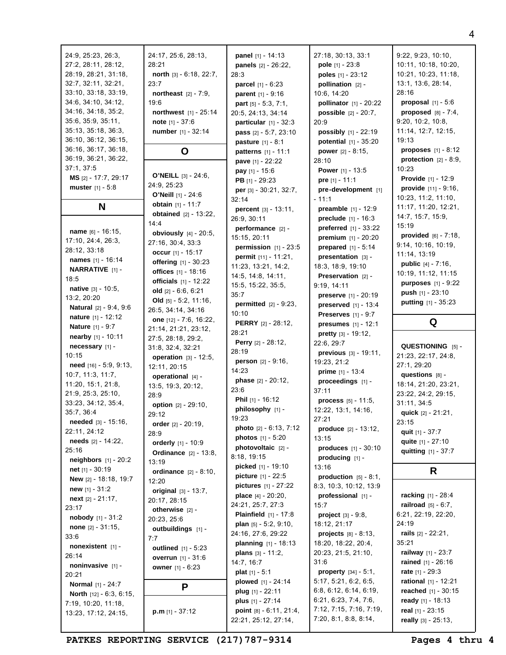| 24:9, 25:23, 26:3,            | 24:17, 25:6, 28:13,             | <b>panel</b> $[1] - 14:13$                                   | 27:18, 30:13, 33:1                                           | 9:22, 9:23, 10:10,                         |
|-------------------------------|---------------------------------|--------------------------------------------------------------|--------------------------------------------------------------|--------------------------------------------|
| 27:2, 28:11, 28:12,           | 28:21                           | panels [2] - 26:22,                                          | pole $[1] - 23:8$                                            | 10:11, 10:18, 10:20,                       |
| 28:19, 28:21, 31:18,          | north [3] - 6:18, 22:7,         | 28:3                                                         | poles $[1] - 23:12$                                          | 10:21, 10:23, 11:18,                       |
| 32:7, 32:11, 32:21,           | 23:7                            | <b>parcel</b> $[1] - 6:23$                                   | pollination $[2]$ -                                          | 13:1, 13:6, 28:14,                         |
| 33:10, 33:18, 33:19,          | <b>northeast</b> $[2] - 7:9$ ,  | <b>parent</b> $[1] - 9:16$                                   | 10:6, 14:20                                                  | 28:16                                      |
| 34:6, 34:10, 34:12,           | 19:6                            | part [5] - 5:3, 7:1,                                         | pollinator [1] - 20:22                                       | <b>proposal</b> $[1] - 5:6$                |
| 34:16, 34:18, 35:2,           | <b>northwest</b> $[1] - 25:14$  | 20:5, 24:13, 34:14                                           | <b>possible</b> $[2] - 20:7$ ,                               | proposed $[8] - 7:4$ ,                     |
| 35:6, 35:9, 35:11,            | note $[1] - 37:6$               | particular $[1] - 32:3$                                      | 20:9                                                         | 9:20, 10:2, 10:8,                          |
| 35:13, 35:18, 36:3,           | number [1] - 32:14              | <b>pass</b> $[2] - 5:7, 23:10$                               | possibly [1] - 22:19                                         | 11:14, 12:7, 12:15,                        |
| 36:10, 36:12, 36:15,          |                                 | <b>pasture</b> $[1] - 8:1$                                   | potential [1] - 35:20                                        | 19:13                                      |
| 36:16, 36:17, 36:18,          | O                               |                                                              | <b>power</b> $[2] - 8:15$ ,                                  | <b>proposes</b> $[1] - 8:12$               |
| 36:19, 36:21, 36:22,          |                                 | <b>patterns</b> $[1] - 11:1$                                 | 28:10                                                        | protection $[2] - 8:9$ ,                   |
| 37:1, 37:5                    |                                 | pave [1] - 22:22                                             | <b>Power</b> $[1] - 13:5$                                    | 10:23                                      |
| MS [2] - 17:7, 29:17          | <b>O'NEILL</b> $[3] - 24:6$ ,   | <b>pay</b> $[1] - 15:6$                                      |                                                              | <b>Provide</b> $[1] - 12:9$                |
| <b>muster</b> $[1] - 5:8$     | 24:9, 25:23                     | <b>PB</b> $[1]$ - 29:23                                      | <b>pre</b> $[1] - 11:1$<br>pre-development [1]               | provide $[11] - 9:16$ ,                    |
|                               | <b>O'Neill</b> $[1] - 24:6$     | per [3] - 30:21, 32:7,                                       | - 11:1                                                       | 10:23, 11:2, 11:10,                        |
| N                             | obtain $[1] - 11:7$             | 32:14                                                        |                                                              | 11:17, 11:20, 12:21,                       |
|                               | <b>obtained</b> $[2] - 13:22$ , | <b>percent</b> $[3] - 13:11$ ,                               | <b>preamble</b> $[1] - 12:9$<br><b>preclude</b> $[1] - 16:3$ | 14:7, 15:7, 15:9,                          |
|                               | 14:4                            | 26:9, 30:11                                                  |                                                              | 15:19                                      |
| name $[6] - 16:15$ ,          | <b>obviously</b> $[4] - 20:5$ , | performance [2] -                                            | <b>preferred</b> $[1] - 33:22$                               | <b>provided</b> $[6] - 7:18$ ,             |
| 17:10, 24:4, 26:3,            | 27:16, 30:4, 33:3               | 15:15, 20:11                                                 | premium [1] - 20:20                                          | 9:14, 10:16, 10:19,                        |
| 28:12, 33:18                  | occur $[1] - 15:17$             | permission $[1]$ - 23:5                                      | prepared $[1] - 5:14$                                        | 11:14, 13:19                               |
| names [1] - 16:14             | offering [1] - 30:23            | permit [11] - 11:21,                                         | presentation $[3]$ -                                         | <b>public</b> $[4] - 7:16$ ,               |
| <b>NARRATIVE</b> [1] -        | offices [1] - 18:16             | 11:23, 13:21, 14:2,                                          | 18:3, 18:9, 19:10                                            | 10:19, 11:12, 11:15                        |
| 18:5                          | <b>officials</b> $[1] - 12:22$  | 14:5, 14:8, 14:11,                                           | Preservation [2] -                                           | <b>purposes</b> $[1] - 9:22$               |
| <b>native</b> $[3] - 10:5$ ,  | old $[2] - 6:6, 6:21$           | 15:5, 15:22, 35:5,                                           | 9:19, 14:11                                                  | push $[1] - 23:10$                         |
| 13:2, 20:20                   | Old $[5] - 5:2, 11:16$ ,        | 35:7                                                         | preserve [1] - 20:19                                         | putting [1] - 35:23                        |
| <b>Natural</b> [2] - 9:4, 9:6 | 26:5, 34:14, 34:16              | <b>permitted</b> $[2] - 9:23$ ,                              | <b>preserved</b> $[1] - 13:4$                                |                                            |
| <b>nature</b> [1] - 12:12     | one [12] - 7:6, 16:22,          | 10:10                                                        | <b>Preserves</b> $[1] - 9:7$                                 |                                            |
| <b>Nature</b> [1] - 9:7       | 21:14, 21:21, 23:12,            | PERRY [2] - 28:12,                                           | <b>presumes</b> $[1] - 12:1$                                 | Q                                          |
| <b>nearby</b> $[1] - 10:11$   | 27:5, 28:18, 29:2,              | 28:21                                                        | <b>pretty</b> $[3] - 19:12$ ,                                |                                            |
| necessary [1] -               | 31:8, 32:4, 32:21               | <b>Perry</b> $[2] - 28:12$ ,                                 | 22:6, 29:7                                                   | QUESTIONING [5] -                          |
| 10:15                         | <b>operation</b> $[3] - 12:5$ , | 28:19                                                        | <b>previous</b> $[3] - 19:11$ ,                              | 21:23, 22:17, 24:8,                        |
| need [16] - 5:9, 9:13,        | 12:11, 20:15                    | person [2] - 9:16,                                           | 19:23, 21:2                                                  | 27:1, 29:20                                |
| 10:7, 11:3, 11:7,             |                                 | 14:23                                                        | <b>prime</b> $[1] - 13:4$                                    |                                            |
|                               |                                 |                                                              |                                                              | questions [8] -                            |
| 11:20, 15:1, 21:8,            | operational $[4]$ -             | <b>phase</b> $[2] - 20:12$ ,                                 | proceedings [1] -                                            | 18:14, 21:20, 23:21,                       |
| 21:9, 25:3, 25:10,            | 13:5, 19:3, 20:12,<br>28:9      | 23:6                                                         | 37:11                                                        | 23:22, 24:2, 29:15,                        |
| 33:23, 34:12, 35:4,           | option [2] - 29:10,             | <b>Phil</b> $[1]$ - 16:12                                    | process $[5] - 11:5$ ,                                       | 31:11, 34:5                                |
| 35:7, 36:4                    | 29:12                           | philosophy [1] -                                             | 12:22, 13:1, 14:16,                                          | quick $[2] - 21:21$ ,                      |
| <b>needed</b> $[3] - 15:16$ , | order $[2] - 20:19$ ,           | 19:23                                                        | 27:21                                                        | 23:15                                      |
| 22:11, 24:12                  | 28:9                            | photo [2] - 6:13, 7:12                                       | <b>produce</b> $[2] - 13:12$                                 | quit $[1] - 37:7$                          |
| <b>needs</b> $[2] - 14:22$ ,  | orderly [1] - 10:9              | <b>photos</b> $[1] - 5:20$                                   | 13:15                                                        | quite [1] - 27:10                          |
| 25:16                         | <b>Ordinance</b> [2] - 13:8,    | photovoltaic $[2]$ -                                         | produces $[1] - 30:10$                                       | quitting [1] - 37:7                        |
| <b>neighbors</b> $[1] - 20:2$ | 13:19                           | 8:18, 19:15                                                  | producing $[1]$ -                                            |                                            |
| net $[1] - 30:19$             | <b>ordinance</b> $[2] - 8:10$ , | <b>picked</b> $[1] - 19:10$                                  | 13:16                                                        | R                                          |
| New [2] - 18:18, 19:7         | 12:20                           | picture [1] - 22:5                                           | production $[5] - 8:1$ ,                                     |                                            |
| new $[1] - 31:2$              | original $[3] - 13:7$ ,         | <b>pictures</b> $[1] - 27:22$                                | 8:3, 10:3, 10:12, 13:9                                       |                                            |
| <b>next</b> $[2] - 21:17$ ,   | 20:17, 28:15                    | <b>place</b> $[4] - 20:20$ ,                                 | professional [1] -                                           | racking [1] - 28:4                         |
| 23:17                         | otherwise [2] -                 | 24:21, 25:7, 27:3                                            | 15:7                                                         | <b>railroad</b> $[5] - 6:7$ ,              |
| nobody [1] - 31:2             | 20:23, 25:6                     | <b>Plainfield</b> $[1] - 17:8$                               | <b>project</b> $[3] - 9:8$ ,                                 | 6:21, 22:19, 22:20,                        |
| <b>none</b> $[2] - 31:15$ ,   | outbuildings [1] -              | plan $[5] - 5:2, 9:10,$                                      | 18:12, 21:17                                                 | 24:19                                      |
| 33:6                          | 7:7                             | 24:16, 27:6, 29:22                                           | <b>projects</b> $[8] - 8:13$ ,                               | rails $[2] - 22:21$ ,                      |
| nonexistent [1] -             | <b>outlined</b> $[1] - 5:23$    | <b>planning</b> $[1] - 18:13$                                | 18:20, 18:22, 20:4,                                          | 35:21                                      |
| 26:14                         | <b>overrun</b> $[1] - 31:6$     | <b>plans</b> $[3] - 11:2$ ,                                  | 20:23, 21:5, 21:10,                                          | <b>railway</b> $[1] - 23:7$                |
| noninvasive [1] -             | <b>owner</b> $[1] - 6:23$       | 14:7, 16:7                                                   | 31:6                                                         | <b>rained</b> $[1] - 26:16$                |
| 20:21                         |                                 | <b>plat</b> $[1] - 5:1$                                      | <b>property</b> $[34] - 5:1$ ,                               | rate $[1] - 29:3$                          |
| <b>Normal</b> [1] - 24:7      | P                               | <b>plowed</b> $[1] - 24:14$                                  | 5:17, 5:21, 6:2, 6:5,                                        | rational [1] - 12:21                       |
| North [12] - 6:3, 6:15,       |                                 | plug $[1] - 22:11$                                           | 6:8, 6:12, 6:14, 6:19,                                       | reached [1] - 30:15                        |
| 7:19, 10:20, 11:18,           |                                 | plus [1] - 27:14                                             | 6:21, 6:23, 7:4, 7:6,                                        | ready $[1] - 18:13$                        |
| 13:23, 17:12, 24:15,          | <b>p.m</b> $[1] - 37:12$        | <b>point</b> $[8] - 6:11$ , $21:4$ ,<br>22:21, 25:12, 27:14, | 7:12, 7:15, 7:16, 7:19,<br>7:20, 8:1, 8:8, 8:14,             | real [1] - 23:15<br>really $[3] - 25:13$ , |

PATKES REPORTING SERVICE (217) 787-9314 Pages 4 thru 4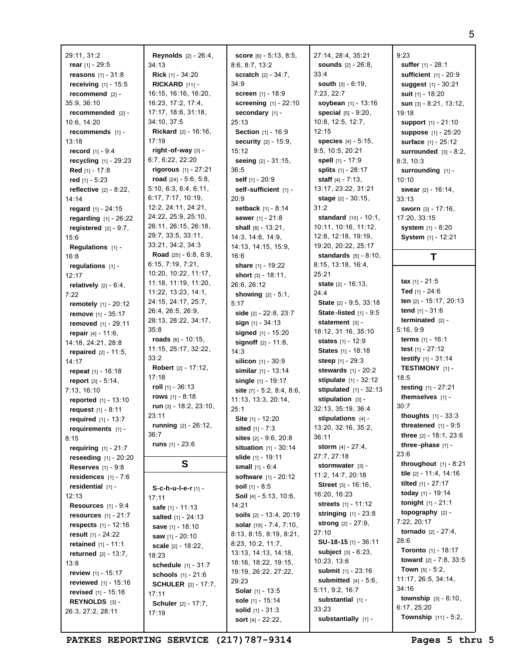29:11, 31:2 **rear** [1] - 29:5 **reasons** [1] - 31:8 **receiving** [1] - 15:5 **recommend** [2] - 35:9, 36:10 **recommended** [2] - 10:6, 14:20 **recommends** [1] - 13:18 **record** [1] - 9:4 **recycling** [1] - 29:23 **Red** [1] - 17:8 **red** [1] - 5:23 **reflective** [2] - 8:22, 14:14 **regard** [1] - 24:15 **regarding** [1] - 26:22 **registered** [2] - 9:7, 15:6 **Regulations** [1] - 16:8 **regulations** [1] - 12:17 **relatively** [2] - 6:4, 7:22 **remotely** [1] - 20:12 **remove** [1] - 35:17 **removed** [1] - 29:11 **repair** [4] - 11:6, 14:18, 24:21, 28:8 **repaired** [2] - 11:5, 14:17 **repeat** [1] - 16:18 **report** [3] - 5:14, 7:13, 16:10 **reported** [1] - 13:10 **request** [1] - 8:11 **required** [1] - 13:7 **requirements** [1] - 8:15 **requiring** [1] - 21:7 **reseeding** [1] - 20:20 **Reserves** [1] - 9:8 **residences** [1] - 7:6 **residential** [1] - 12:13 **Resources** [1] - 9:4 **resources** [1] - 21:7 **respects** [1] - 12:16 **result** [1] - 24:22 **retained** [1] - 11:1 **returned** [2] - 13:7, 13:8 **review** [1] - 15:17 **reviewed** [1] - 15:16 **revised** [1] - 15:16 **REYNOLDS** [3] - 26:3, 27:2, 28:11

**Reynolds** [2] - 26:4, 34:13 **Rick** [1] - 34:20 **RICKARD** [11] - 16:15, 16:16, 16:20, 16:23, 17:2, 17:4, 17:17, 18:6, 31:18, 34:10, 37:5 **Rickard** [2] - 16:16, 17:19 **right-of-way** [3] - 6:7, 6:22, 22:20 **rigorous** [1] - 27:21 **road** [24] - 5:6, 5:8, 5:10, 6:3, 6:4, 6:11, 6:17, 7:17, 10:19, 12:2, 24:11, 24:21, 24:22, 25:9, 25:10, 26:11, 26:15, 26:18, 29:7, 33:5, 33:11, 33:21, 34:2, 34:3 **Road** [25] - 6:8, 6:9, 6:15, 7:19, 7:21, 10:20, 10:22, 11:17, 11:18, 11:19, 11:20, 11:22, 13:23, 14:1, 24:15, 24:17, 25:7, 26:4, 26:5, 26:9, 28:13, 28:22, 34:17, 35:8 **roads** [6] - 10:15, 11:15, 25:17, 32:22, 33:2 **Robert** [2] - 17:12, 17:18 **roll** [1] - 36:13 **rows** [1] - 8:18 **run** [3] - 18:2, 23:10, 23:11 **running** [2] - 26:12, 36:7 **runs** [1] - 23:6 **S S-c-h-u-l-e-r** [1] - 17:11 **safe** [1] - 11:13 **salted** [1] - 24:13 **save** [1] - 18:10 **saw** [1] - 20:10 **scale** [2] - 18:22, 18:23 **schedule** [1] - 31:7 **schools** [1] - 21:6 **SCHULER** [2] - 17:7, 17:11 **Schuler** [2] - 17:7, 17:19

**score** [6] - 5:13, 8:5, 8:6, 8:7, 13:2 **scratch** [2] - 34:7, 34:9 **screen** [1] - 18:9 **screening** [1] - 22:10 **secondary** [1] - 25:13 **Section** [1] - 16:9 **security** [2] - 15:9, 15:12 **seeing** [2] - 31:15, 36:5 **self** [1] - 20:9 **self-sufficient** [1] - 20:9 **setback** [1] - 8:14 **sewer** [1] - 21:8 **shall** [8] - 13:21, 14:3, 14:6, 14:9, 14:13, 14:15, 15:9, 16:6 **share** [1] - 19:22 **short** [3] - 18:11, 26:6, 26:12 **showing** [2] - 5:1, 5:17 **side** [2] - 22:8, 23:7 **sign** [1] - 34:13 **signed** [1] - 15:20 **signoff** [2] - 11:8, 14:3 **silicon** [1] - 30:9 **similar** [1] - 13:14 **single** [1] - 19:17 **site** [7] - 5:2, 8:4, 8:6, 11:13, 13:3, 20:14, 25:1 **Site** [1] - 12:20 **sited** [1] - 7:3 **sites** [2] - 9:6, 20:8 **situation** [1] - 30:14 **slide** [1] - 19:11 **small** [1] - 6:4 **software** [1] - 20:12 **soil** [1] - 8:5 **Soil** [4] - 5:13, 10:6, 14:21 **soils** [2] - 13:4, 20:19 **solar** [19] - 7:4, 7:10, 8:13, 8:15, 8:19, 8:21, 8:23, 10:2, 11:7, 13:13, 14:13, 14:18, 18:16, 18:22, 19:15, 19:19, 26:22, 27:22, 29:23 **Solar** [1] - 13:5 **sole** [1] - 15:14 **solid** [1] - 31:3 **sort** [4] - 22:22,

27:14, 28:4, 35:21 **sounds** [2] - 26:8, 33:4 **south** [3] - 6:19, 7:23, 22:7 **soybean** [1] - 13:16 **special** [5] - 9:20, 10:8, 12:5, 12:7, 12:15 **species** [4] - 5:15, 9:5, 10:5, 20:21 **spell** [1] - 17:9 **splits** [1] - 28:17 **staff** [4] - 7:13, 13:17, 23:22, 31:21 **stage** [2] - 30:15, 31:2 **standard** [10] - 10:1, 10:11, 10:16, 11:12, 12:8, 12:18, 19:19, 19:20, 20:22, 25:17 **standards** [5] - 8:10, 8:15, 13:18, 16:4, 25:21 **state** [2] - 16:13, 24:4 **State** [2] - 9:5, 33:18 **State -listed** [1] - 9:5 **statement** [3] - 18:12, 31:16, 35:10 **states** [1] - 12:9 **States** [1] - 18:18 **steep** [1] - 29:3 **stewards** [1] - 20:2 **stipulate** [1] - 32:12 **stipulated** [1] - 32:13 **stipulation** [3] - 32:13, 35:19, 36:4 **stipulations** [4] - 13:20, 32:16, 35:2, 36:11 **storm** [4] - 27:4, 27:7, 27:18 **stormwater** [3] - 11:2, 14:7, 20:18 **Street** [3] - 16:16, 16:20, 16:23 **streets** [1] - 11:12 **stringing** [1] - 23:8 **strong** [2] - 27:9, 27:10 **SU-18-15** [1] - 36:11 **subject** [3] - 6:23, 10:23, 13:6 **submit** [1] - 23:16 **submitted** [4] - 5:6, 5:11, 9:2, 16:7 **substantial** [1] - 33:23 **substantially** [1] -

## 9:23 **suffer** [1] - 28:1 **sufficient** [1] - 20:9 **suggest** [1] - 30:21 **suit** [1] - 18:20 **sun** [3] - 8:21, 13:12, 19:18 **support** [1] - 21:10 **suppose** [1] - 25:20 **surface** [1] - 25:12 **surrounded** [3] - 8:2, 8:3, 10:3 **surrounding** [1] - 10:10 **swear** [2] - 16:14, 33:13 **sworn** [3] - 17:16, 17:20, 33:15 **system** [1] - 8:20 **System** [1] - 12:21 **T**

**tax** [1] - 21:5 **Ted** [1] - 24:6 **ten** [2] - 15:17, 20:13 **tend** [1] - 31:6 **terminated** [2] - 5:16, 9:9 **terms** [1] - 16:1 **test** [1] - 27:12 **testify** [1] - 31:14 **TESTIMONY** [1] - 18:5 **testing** [1] - 27:21 **themselves** [1] - 30:7 **thoughts** [1] - 33:3 **threatened** [1] - 9:5 **three** [2] - 18:1, 23:6 **three -phase** [1] - 23:6 **throughout** [1] - 8:21 **tile** [2] - 11:4, 14:16 **tilted** [1] - 27:17 **today** [1] - 19:14 **tonight** [1] - 21:1 **topography** [2] - 7:22, 20:17 **tornado** [2] - 27:4, 28:6 **Toronto** [1] - 18:17 **toward** [2] - 7:8, 33:5 **Town** [5] - 5:2, 11:17, 26:5, 34:14, 34:16 **township** [3] - 6:10, 6:17, 25:20 **Township** [11] - 5:2,

**PATKES REPORTING SERVICE (217)787-9314 Pages 5 thru 5**